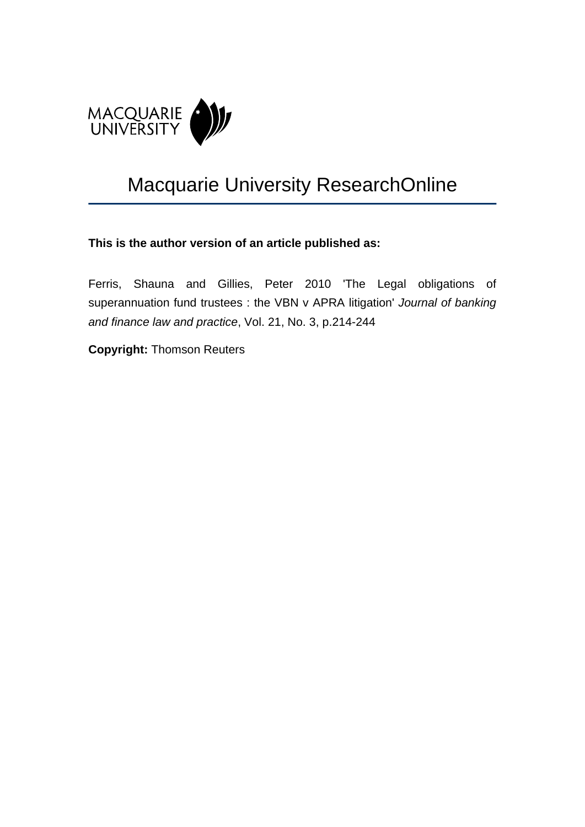

# Macquarie University ResearchOnline

## **This is the author version of an article published as:**

Ferris, Shauna and Gillies, Peter 2010 'The Legal obligations of superannuation fund trustees : the VBN v APRA litigation' *Journal of banking and finance law and practice*, Vol. 21, No. 3, p.214-244

**Copyright:** Thomson Reuters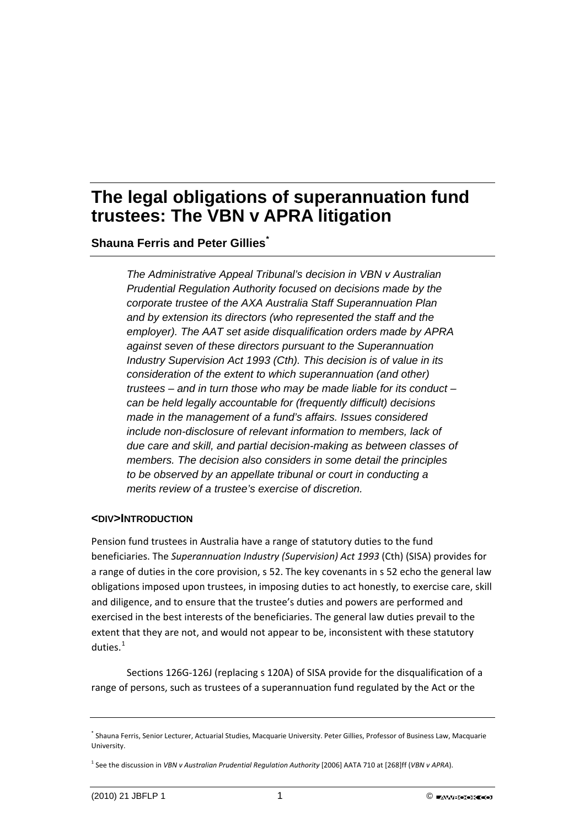**Shauna Ferris and Peter Gillies[\\*](#page-1-0)**

*The Administrative Appeal Tribunal's decision in VBN v Australian Prudential Regulation Authority focused on decisions made by the corporate trustee of the AXA Australia Staff Superannuation Plan and by extension its directors (who represented the staff and the employer). The AAT set aside disqualification orders made by APRA against seven of these directors pursuant to the Superannuation Industry Supervision Act 1993 (Cth). This decision is of value in its consideration of the extent to which superannuation (and other) trustees – and in turn those who may be made liable for its conduct – can be held legally accountable for (frequently difficult) decisions made in the management of a fund's affairs. Issues considered include non-disclosure of relevant information to members, lack of due care and skill, and partial decision-making as between classes of members. The decision also considers in some detail the principles to be observed by an appellate tribunal or court in conducting a merits review of a trustee's exercise of discretion.* 

## **<DIV>INTRODUCTION**

Pension fund trustees in Australia have a range of statutory duties to the fund beneficiaries. The *Superannuation Industry (Supervision) Act 1993* (Cth) (SISA) provides for a range of duties in the core provision, s 52. The key covenants in s 52 echo the general law obligations imposed upon trustees, in imposing duties to act honestly, to exercise care, skill and diligence, and to ensure that the trustee's duties and powers are performed and exercised in the best interests of the beneficiaries. The general law duties prevail to the extent that they are not, and would not appear to be, inconsistent with these statutory duties. $1$ 

Sections 126G‐126J (replacing s 120A) of SISA provide for the disqualification of a range of persons, such as trustees of a superannuation fund regulated by the Act or the

<span id="page-1-0"></span><sup>\*</sup> Shauna Ferris, Senior Lecturer, Actuarial Studies, Macquarie University. Peter Gillies, Professor of Business Law, Macquarie University.

<span id="page-1-1"></span><sup>1</sup> See the discussion in *VBN v Australian Prudential Regulation Authority* [2006] AATA 710 at [268]ff (*VBN v APRA*).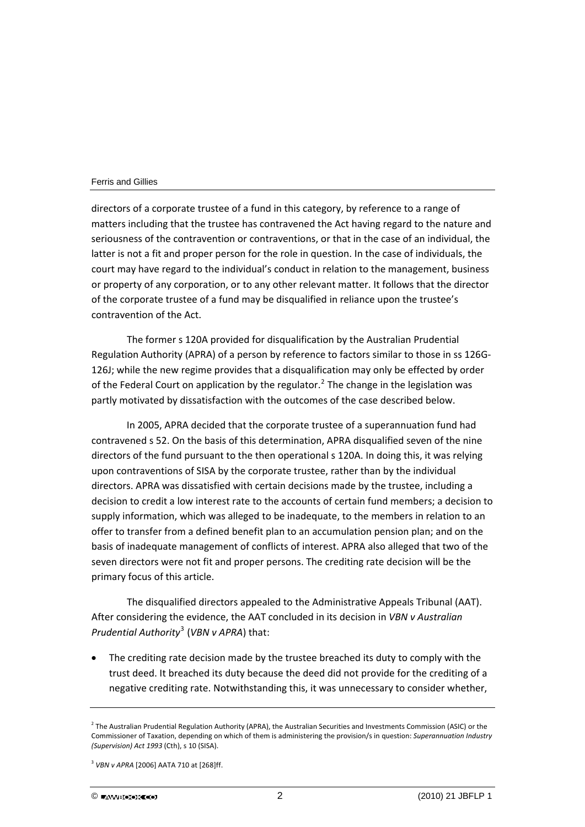directors of a corporate trustee of a fund in this category, by reference to a range of matters including that the trustee has contravened the Act having regard to the nature and seriousness of the contravention or contraventions, or that in the case of an individual, the latter is not a fit and proper person for the role in question. In the case of individuals, the court may have regard to the individual's conduct in relation to the management, business or property of any corporation, or to any other relevant matter. It follows that the director of the corporate trustee of a fund may be disqualified in reliance upon the trustee's contravention of the Act.

The former s 120A provided for disqualification by the Australian Prudential Regulation Authority (APRA) of a person by reference to factors similar to those in ss 126G‐ 126J; while the new regime provides that a disqualification may only be effected by order of the Federal Court on application by the regulator.<sup>[2](#page-2-0)</sup> The change in the legislation was partly motivated by dissatisfaction with the outcomes of the case described below.

In 2005, APRA decided that the corporate trustee of a superannuation fund had contravened s 52. On the basis of this determination, APRA disqualified seven of the nine directors of the fund pursuant to the then operational s 120A. In doing this, it was relying upon contraventions of SISA by the corporate trustee, rather than by the individual directors. APRA was dissatisfied with certain decisions made by the trustee, including a decision to credit a low interest rate to the accounts of certain fund members; a decision to supply information, which was alleged to be inadequate, to the members in relation to an offer to transfer from a defined benefit plan to an accumulation pension plan; and on the basis of inadequate management of conflicts of interest. APRA also alleged that two of the seven directors were not fit and proper persons. The crediting rate decision will be the primary focus of this article.

The disqualified directors appealed to the Administrative Appeals Tribunal (AAT). After considering the evidence, the AAT concluded in its decision in *VBN v Australian Prudential Authority*[3](#page-2-1) (*VBN v APRA*) that:

The crediting rate decision made by the trustee breached its duty to comply with the trust deed. It breached its duty because the deed did not provide for the crediting of a negative crediting rate. Notwithstanding this, it was unnecessary to consider whether,

<span id="page-2-0"></span> $^2$  The Australian Prudential Regulation Authority (APRA), the Australian Securities and Investments Commission (ASIC) or the Commissioner of Taxation, depending on which of them is administering the provision/s in question: *Superannuation Industry (Supervision) Act 1993* (Cth), s 10 (SISA).

<span id="page-2-1"></span><sup>3</sup> *VBN v APRA* [2006] AATA 710 at [268]ff.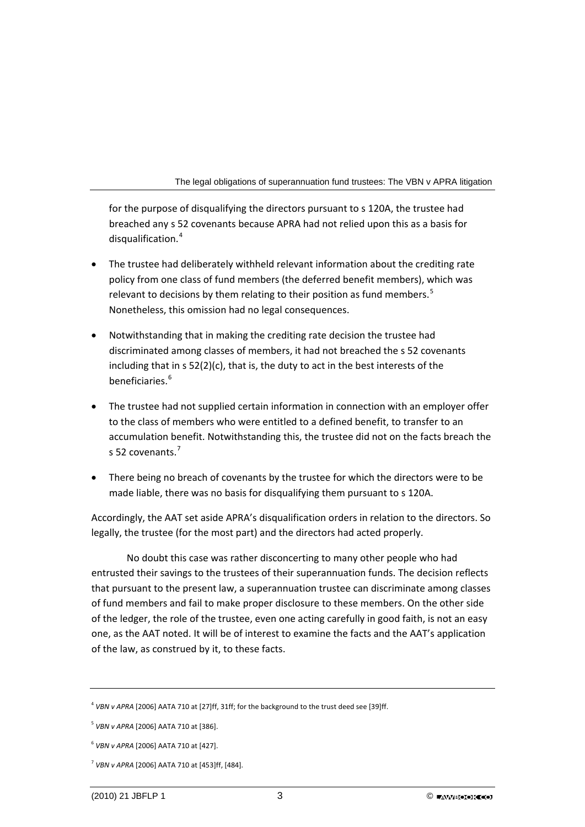for the purpose of disqualifying the directors pursuant to s 120A, the trustee had breached any s 52 covenants because APRA had not relied upon this as a basis for disqualification.<sup>4</sup>

- The trustee had deliberately withheld relevant information about the crediting rate policy from one class of fund members (the deferred benefit members), which was relevant to decisions by them relating to their position as fund members.<sup>[5](#page-3-0)</sup> Nonetheless, this omission had no legal consequences.
- Notwithstanding that in making the crediting rate decision the trustee had discriminated among classes of members, it had not breached the s 52 covenants including that in s 52(2)(c), that is, the duty to act in the best interests of the beneficiaries.<sup>[6](#page-3-1)</sup>
- The trustee had not supplied certain information in connection with an employer offer to the class of members who were entitled to a defined benefit, to transfer to an accumulation benefit. Notwithstanding this, the trustee did not on the facts breach the s 52 covenants.<sup>[7](#page-3-2)</sup>
- There being no breach of covenants by the trustee for which the directors were to be made liable, there was no basis for disqualifying them pursuant to s 120A.

Accordingly, the AAT set aside APRA's disqualification orders in relation to the directors. So legally, the trustee (for the most part) and the directors had acted properly.

No doubt this case was rather disconcerting to many other people who had entrusted their savings to the trustees of their superannuation funds. The decision reflects that pursuant to the present law, a superannuation trustee can discriminate among classes of fund members and fail to make proper disclosure to these members. On the other side of the ledger, the role of the trustee, even one acting carefully in good faith, is not an easy one, as the AAT noted. It will be of interest to examine the facts and the AAT's application of the law, as construed by it, to these facts.

<sup>4</sup> *VBN v APRA* [2006] AATA 710 at [27]ff, 31ff; for the background to the trust deed see [39]ff.

<span id="page-3-0"></span><sup>5</sup> *VBN v APRA* [2006] AATA 710 at [386].

<span id="page-3-1"></span><sup>6</sup> *VBN v APRA* [2006] AATA 710 at [427].

<span id="page-3-2"></span><sup>7</sup> *VBN v APRA* [2006] AATA 710 at [453]ff, [484].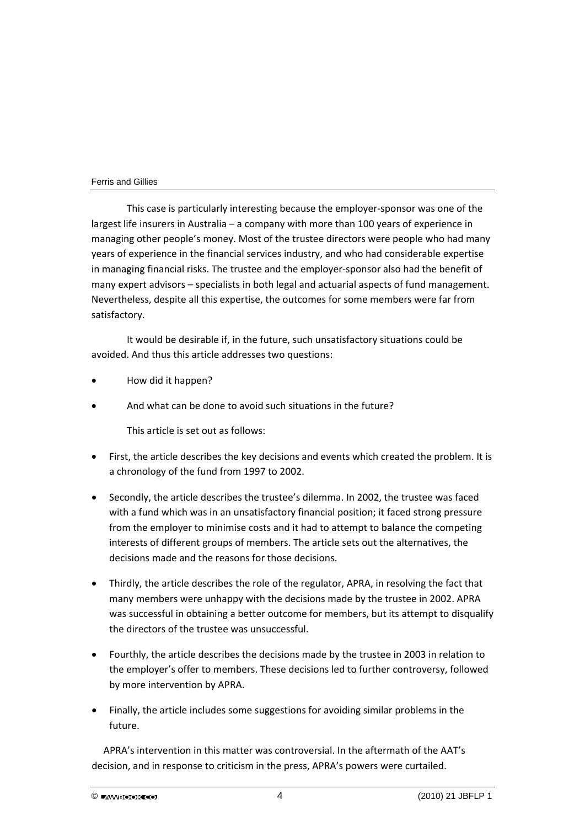This case is particularly interesting because the employer‐sponsor was one of the largest life insurers in Australia – a company with more than 100 years of experience in managing other people's money. Most of the trustee directors were people who had many years of experience in the financial services industry, and who had considerable expertise in managing financial risks. The trustee and the employer-sponsor also had the benefit of many expert advisors – specialists in both legal and actuarial aspects of fund management. Nevertheless, despite all this expertise, the outcomes for some members were far from satisfactory.

It would be desirable if, in the future, such unsatisfactory situations could be avoided. And thus this article addresses two questions:

- How did it happen?
- And what can be done to avoid such situations in the future?

This article is set out as follows:

- First, the article describes the key decisions and events which created the problem. It is a chronology of the fund from 1997 to 2002.
- Secondly, the article describes the trustee's dilemma. In 2002, the trustee was faced with a fund which was in an unsatisfactory financial position; it faced strong pressure from the employer to minimise costs and it had to attempt to balance the competing interests of different groups of members. The article sets out the alternatives, the decisions made and the reasons for those decisions.
- Thirdly, the article describes the role of the regulator, APRA, in resolving the fact that many members were unhappy with the decisions made by the trustee in 2002. APRA was successful in obtaining a better outcome for members, but its attempt to disqualify the directors of the trustee was unsuccessful.
- Fourthly, the article describes the decisions made by the trustee in 2003 in relation to the employer's offer to members. These decisions led to further controversy, followed by more intervention by APRA.
- Finally, the article includes some suggestions for avoiding similar problems in the future.

APRA's intervention in this matter was controversial. In the aftermath of the AAT's decision, and in response to criticism in the press, APRA's powers were curtailed.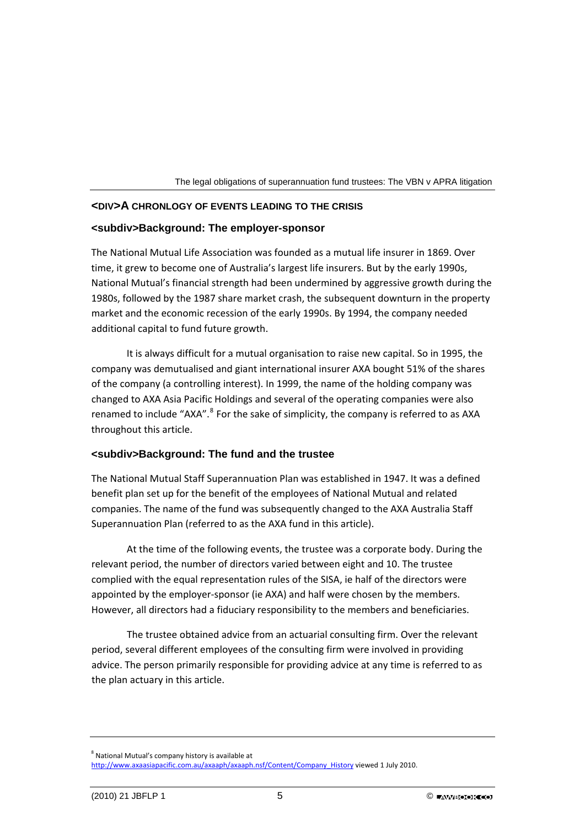

## **<DIV>A CHRONLOGY OF EVENTS LEADING TO THE CRISIS**

## **<subdiv>Background: The employer-sponsor**

The National Mutual Life Association was founded as a mutual life insurer in 1869. Over time, it grew to become one of Australia's largest life insurers. But by the early 1990s, National Mutual's financial strength had been undermined by aggressive growth during the 1980s, followed by the 1987 share market crash, the subsequent downturn in the property market and the economic recession of the early 1990s. By 1994, the company needed additional capital to fund future growth.

It is always difficult for a mutual organisation to raise new capital. So in 1995, the company was demutualised and giant international insurer AXA bought 51% of the shares of the company (a controlling interest). In 1999, the name of the holding company was changed to AXA Asia Pacific Holdings and several of the operating companies were also renamed to include "AXA".<sup>[8](#page-5-0)</sup> For the sake of simplicity, the company is referred to as AXA throughout this article.

## **<subdiv>Background: The fund and the trustee**

The National Mutual Staff Superannuation Plan was established in 1947. It was a defined benefit plan set up for the benefit of the employees of National Mutual and related companies. The name of the fund was subsequently changed to the AXA Australia Staff Superannuation Plan (referred to as the AXA fund in this article).

At the time of the following events, the trustee was a corporate body. During the relevant period, the number of directors varied between eight and 10. The trustee complied with the equal representation rules of the SISA, ie half of the directors were appointed by the employer‐sponsor (ie AXA) and half were chosen by the members. However, all directors had a fiduciary responsibility to the members and beneficiaries.

The trustee obtained advice from an actuarial consulting firm. Over the relevant period, several different employees of the consulting firm were involved in providing advice. The person primarily responsible for providing advice at any time is referred to as the plan actuary in this article.

<span id="page-5-0"></span><sup>8</sup> National Mutual's company history is available at [http://www.axaasiapacific.com.au/axaaph/axaaph.nsf/Content/Company\\_History](http://www.axaasiapacific.com.au/axaaph/axaaph.nsf/Content/Company_History) viewed 1 July 2010.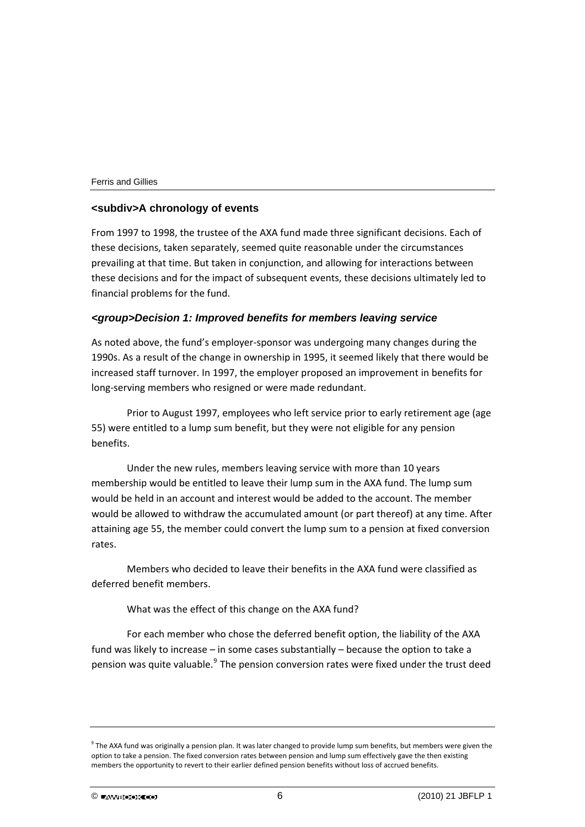## **<subdiv>A chronology of events**

From 1997 to 1998, the trustee of the AXA fund made three significant decisions. Each of these decisions, taken separately, seemed quite reasonable under the circumstances prevailing at that time. But taken in conjunction, and allowing for interactions between these decisions and for the impact of subsequent events, these decisions ultimately led to financial problems for the fund.

## *<group>Decision 1: Improved benefits for members leaving service*

As noted above, the fund's employer‐sponsor was undergoing many changes during the 1990s. As a result of the change in ownership in 1995, it seemed likely that there would be increased staff turnover. In 1997, the employer proposed an improvement in benefits for long‐serving members who resigned or were made redundant.

Prior to August 1997, employees who left service prior to early retirement age (age 55) were entitled to a lump sum benefit, but they were not eligible for any pension benefits.

Under the new rules, members leaving service with more than 10 years membership would be entitled to leave their lump sum in the AXA fund. The lump sum would be held in an account and interest would be added to the account. The member would be allowed to withdraw the accumulated amount (or part thereof) at any time. After attaining age 55, the member could convert the lump sum to a pension at fixed conversion rates.

Members who decided to leave their benefits in the AXA fund were classified as deferred benefit members.

What was the effect of this change on the AXA fund?

For each member who chose the deferred benefit option, the liability of the AXA fund was likely to increase – in some cases substantially – because the option to take a pension was quite valuable. $9$  The pension conversion rates were fixed under the trust deed

<span id="page-6-0"></span> $9$  The AXA fund was originally a pension plan. It was later changed to provide lump sum benefits, but members were given the option to take a pension. The fixed conversion rates between pension and lump sum effectively gave the then existing members the opportunity to revert to their earlier defined pension benefits without loss of accrued benefits.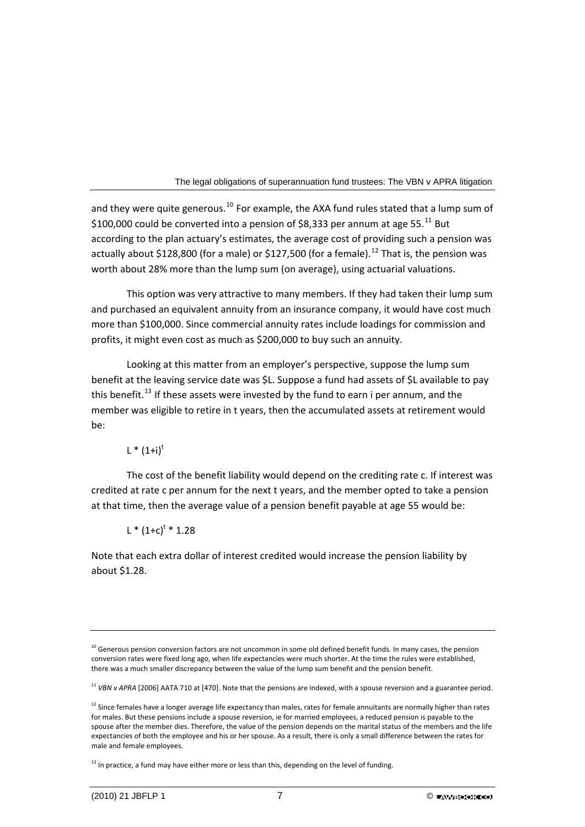and they were quite generous.<sup>[10](#page-7-0)</sup> For example, the AXA fund rules stated that a lump sum of \$100,000 could be converted into a pension of \$8,333 per annum at age 55. $^{11}$  $^{11}$  $^{11}$  But according to the plan actuary's estimates, the average cost of providing such a pension was actually about \$[12](#page-7-2)8,800 (for a male) or \$127,500 (for a female).<sup>12</sup> That is, the pension was worth about 28% more than the lump sum (on average), using actuarial valuations.

This option was very attractive to many members. If they had taken their lump sum and purchased an equivalent annuity from an insurance company, it would have cost much more than \$100,000. Since commercial annuity rates include loadings for commission and profits, it might even cost as much as \$200,000 to buy such an annuity.

Looking at this matter from an employer's perspective, suppose the lump sum benefit at the leaving service date was \$L. Suppose a fund had assets of \$L available to pay this benefit.<sup>[13](#page-7-3)</sup> If these assets were invested by the fund to earn i per annum, and the member was eligible to retire in t years, then the accumulated assets at retirement would be:

 $L * (1+i)^t$ 

The cost of the benefit liability would depend on the crediting rate c. If interest was credited at rate c per annum for the next t years, and the member opted to take a pension at that time, then the average value of a pension benefit payable at age 55 would be:

 $L * (1+c)^{t} * 1.28$ 

Note that each extra dollar of interest credited would increase the pension liability by about \$1.28.

<span id="page-7-1"></span><sup>11</sup> VBN v APRA [2006] AATA 710 at [470]. Note that the pensions are indexed, with a spouse reversion and a guarantee period.

<span id="page-7-0"></span> $10$  Generous pension conversion factors are not uncommon in some old defined benefit funds. In many cases, the pension conversion rates were fixed long ago, when life expectancies were much shorter. At the time the rules were established, there was a much smaller discrepancy between the value of the lump sum benefit and the pension benefit.

<span id="page-7-2"></span><sup>&</sup>lt;sup>12</sup> Since females have a longer average life expectancy than males, rates for female annuitants are normally higher than rates for males. But these pensions include a spouse reversion, ie for married employees, a reduced pension is payable to the spouse after the member dies. Therefore, the value of the pension depends on the marital status of the members and the life expectancies of both the employee and his or her spouse. As a result, there is only a small difference between the rates for male and female employees.

<span id="page-7-3"></span> $13$  In practice, a fund may have either more or less than this, depending on the level of funding.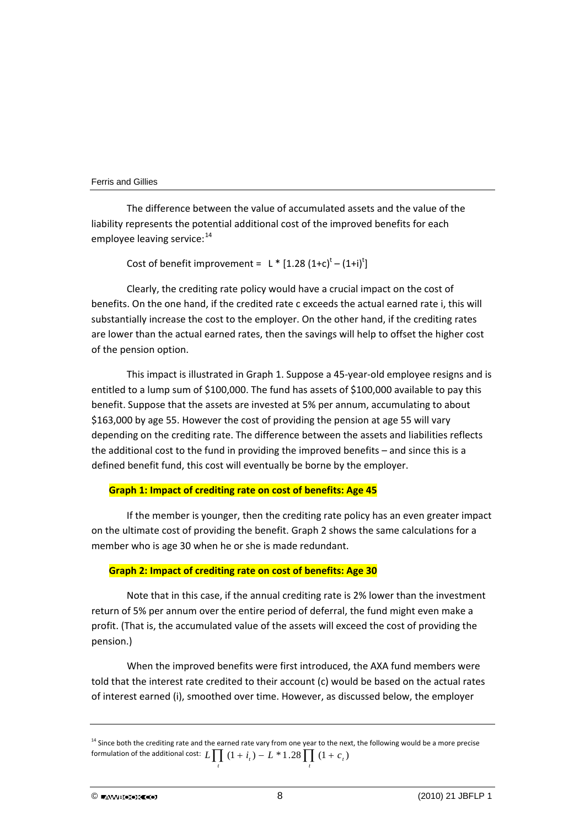The difference between the value of accumulated assets and the value of the liability represents the potential additional cost of the improved benefits for each employee leaving service:<sup>[14](#page-8-0)</sup>

Cost of benefit improvement =  $L * [1.28 (1+c)^t - (1+i)^t]$ 

Clearly, the crediting rate policy would have a crucial impact on the cost of benefits. On the one hand, if the credited rate c exceeds the actual earned rate i, this will substantially increase the cost to the employer. On the other hand, if the crediting rates are lower than the actual earned rates, then the savings will help to offset the higher cost of the pension option.

This impact is illustrated in Graph 1. Suppose a 45‐year‐old employee resigns and is entitled to a lump sum of \$100,000. The fund has assets of \$100,000 available to pay this benefit. Suppose that the assets are invested at 5% per annum, accumulating to about \$163,000 by age 55. However the cost of providing the pension at age 55 will vary depending on the crediting rate. The difference between the assets and liabilities reflects the additional cost to the fund in providing the improved benefits – and since this is a defined benefit fund, this cost will eventually be borne by the employer.

## **Graph 1: Impact of crediting rate on cost of benefits: Age 45**

If the member is younger, then the crediting rate policy has an even greater impact on the ultimate cost of providing the benefit. Graph 2 shows the same calculations for a member who is age 30 when he or she is made redundant.

## **Graph 2: Impact of crediting rate on cost of benefits: Age 30**

Note that in this case, if the annual crediting rate is 2% lower than the investment return of 5% per annum over the entire period of deferral, the fund might even make a profit. (That is, the accumulated value of the assets will exceed the cost of providing the pension.)

When the improved benefits were first introduced, the AXA fund members were told that the interest rate credited to their account (c) would be based on the actual rates of interest earned (i), smoothed over time. However, as discussed below, the employer

<span id="page-8-0"></span><sup>&</sup>lt;sup>14</sup> Since both the crediting rate and the earned rate vary from one year to the next, the following would be a more precise formulation of the additional cost:  $L \prod_{l} (1 + i_l) - L * 1.28 \prod_{l} (1 + c_l)$ *t*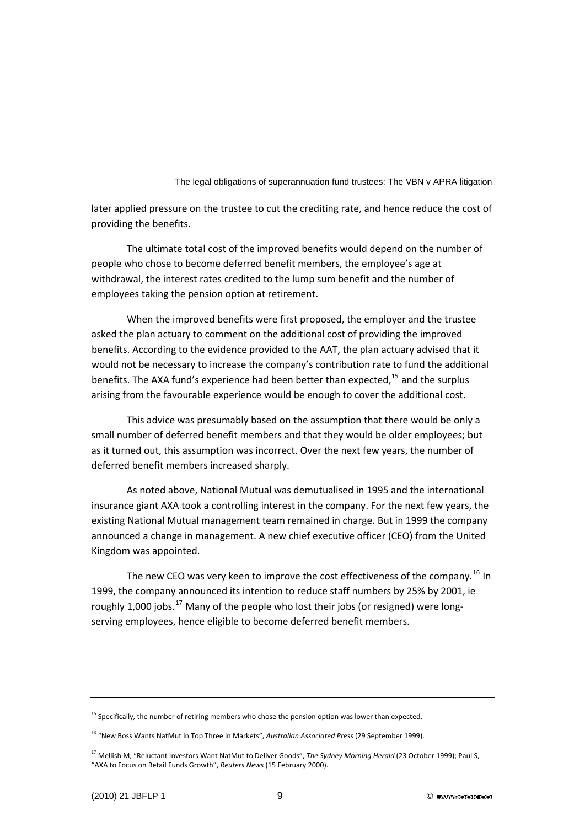later applied pressure on the trustee to cut the crediting rate, and hence reduce the cost of providing the benefits.

The ultimate total cost of the improved benefits would depend on the number of people who chose to become deferred benefit members, the employee's age at withdrawal, the interest rates credited to the lump sum benefit and the number of employees taking the pension option at retirement.

When the improved benefits were first proposed, the employer and the trustee asked the plan actuary to comment on the additional cost of providing the improved benefits. According to the evidence provided to the AAT, the plan actuary advised that it would not be necessary to increase the company's contribution rate to fund the additional benefits. The AXA fund's experience had been better than expected, $15$  and the surplus arising from the favourable experience would be enough to cover the additional cost.

This advice was presumably based on the assumption that there would be only a small number of deferred benefit members and that they would be older employees; but as it turned out, this assumption was incorrect. Over the next few years, the number of deferred benefit members increased sharply.

As noted above, National Mutual was demutualised in 1995 and the international insurance giant AXA took a controlling interest in the company. For the next few years, the existing National Mutual management team remained in charge. But in 1999 the company announced a change in management. A new chief executive officer (CEO) from the United Kingdom was appointed.

The new CEO was very keen to improve the cost effectiveness of the company.<sup>[16](#page-9-1)</sup> In 1999, the company announced its intention to reduce staff numbers by 25% by 2001, ie roughly 1,000 jobs.<sup>[17](#page-9-2)</sup> Many of the people who lost their jobs (or resigned) were longserving employees, hence eligible to become deferred benefit members.

<span id="page-9-0"></span> $15$  Specifically, the number of retiring members who chose the pension option was lower than expected.

<span id="page-9-1"></span><sup>16</sup> "New Boss Wants NatMut in Top Three in Markets", *Australian Associated Press* (29 September 1999).

<span id="page-9-2"></span><sup>17</sup> Mellish M, "Reluctant Investors Want NatMut to Deliver Goods", *The Sydney Morning Herald* (23 October 1999); Paul S, "AXA to Focus on Retail Funds Growth", *Reuters News* (15 February 2000).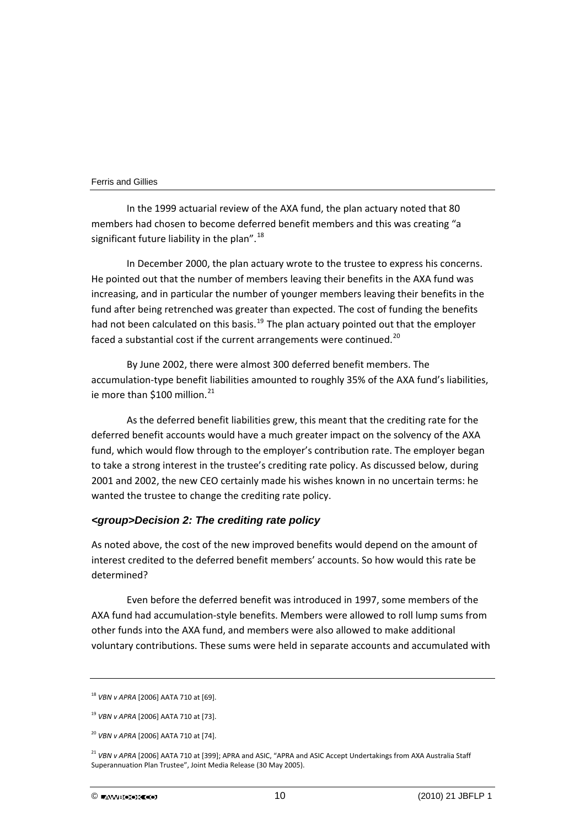In the 1999 actuarial review of the AXA fund, the plan actuary noted that 80 members had chosen to become deferred benefit members and this was creating "a significant future liability in the plan".<sup>[18](#page-10-0)</sup>

In December 2000, the plan actuary wrote to the trustee to express his concerns. He pointed out that the number of members leaving their benefits in the AXA fund was increasing, and in particular the number of younger members leaving their benefits in the fund after being retrenched was greater than expected. The cost of funding the benefits had not been calculated on this basis.<sup>[19](#page-10-1)</sup> The plan actuary pointed out that the employer faced a substantial cost if the current arrangements were continued.<sup>[20](#page-10-2)</sup>

By June 2002, there were almost 300 deferred benefit members. The accumulation‐type benefit liabilities amounted to roughly 35% of the AXA fund's liabilities, ie more than \$100 million.<sup>[21](#page-10-3)</sup>

As the deferred benefit liabilities grew, this meant that the crediting rate for the deferred benefit accounts would have a much greater impact on the solvency of the AXA fund, which would flow through to the employer's contribution rate. The employer began to take a strong interest in the trustee's crediting rate policy. As discussed below, during 2001 and 2002, the new CEO certainly made his wishes known in no uncertain terms: he wanted the trustee to change the crediting rate policy.

## *<group>Decision 2: The crediting rate policy*

As noted above, the cost of the new improved benefits would depend on the amount of interest credited to the deferred benefit members' accounts. So how would this rate be determined?

Even before the deferred benefit was introduced in 1997, some members of the AXA fund had accumulation‐style benefits. Members were allowed to roll lump sums from other funds into the AXA fund, and members were also allowed to make additional voluntary contributions. These sums were held in separate accounts and accumulated with

<span id="page-10-0"></span><sup>18</sup> *VBN v APRA* [2006] AATA 710 at [69].

<span id="page-10-1"></span><sup>19</sup> *VBN v APRA* [2006] AATA 710 at [73].

<span id="page-10-2"></span><sup>20</sup> *VBN v APRA* [2006] AATA 710 at [74].

<span id="page-10-3"></span><sup>21</sup> *VBN v APRA* [2006] AATA 710 at [399]; APRA and ASIC, "APRA and ASIC Accept Undertakings from AXA Australia Staff Superannuation Plan Trustee", Joint Media Release (30 May 2005).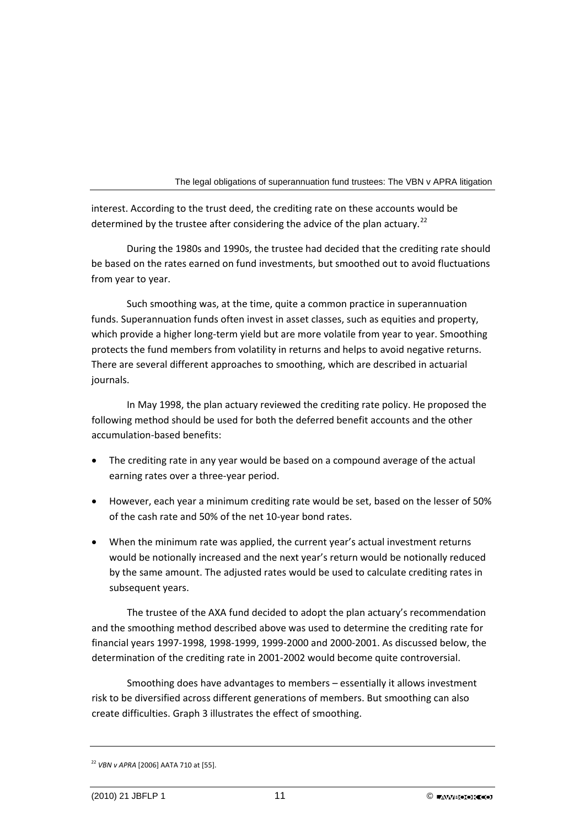interest. According to the trust deed, the crediting rate on these accounts would be determined by the trustee after considering the advice of the plan actuary.<sup>[22](#page-11-0)</sup>

During the 1980s and 1990s, the trustee had decided that the crediting rate should be based on the rates earned on fund investments, but smoothed out to avoid fluctuations from year to year.

Such smoothing was, at the time, quite a common practice in superannuation funds. Superannuation funds often invest in asset classes, such as equities and property, which provide a higher long-term yield but are more volatile from year to year. Smoothing protects the fund members from volatility in returns and helps to avoid negative returns. There are several different approaches to smoothing, which are described in actuarial journals.

In May 1998, the plan actuary reviewed the crediting rate policy. He proposed the following method should be used for both the deferred benefit accounts and the other accumulation‐based benefits:

- The crediting rate in any year would be based on a compound average of the actual earning rates over a three‐year period.
- However, each year a minimum crediting rate would be set, based on the lesser of 50% of the cash rate and 50% of the net 10‐year bond rates.
- When the minimum rate was applied, the current year's actual investment returns would be notionally increased and the next year's return would be notionally reduced by the same amount. The adjusted rates would be used to calculate crediting rates in subsequent years.

The trustee of the AXA fund decided to adopt the plan actuary's recommendation and the smoothing method described above was used to determine the crediting rate for financial years 1997‐1998, 1998‐1999, 1999‐2000 and 2000‐2001. As discussed below, the determination of the crediting rate in 2001‐2002 would become quite controversial.

Smoothing does have advantages to members – essentially it allows investment risk to be diversified across different generations of members. But smoothing can also create difficulties. Graph 3 illustrates the effect of smoothing.

<span id="page-11-0"></span><sup>22</sup> *VBN v APRA* [2006] AATA 710 at [55].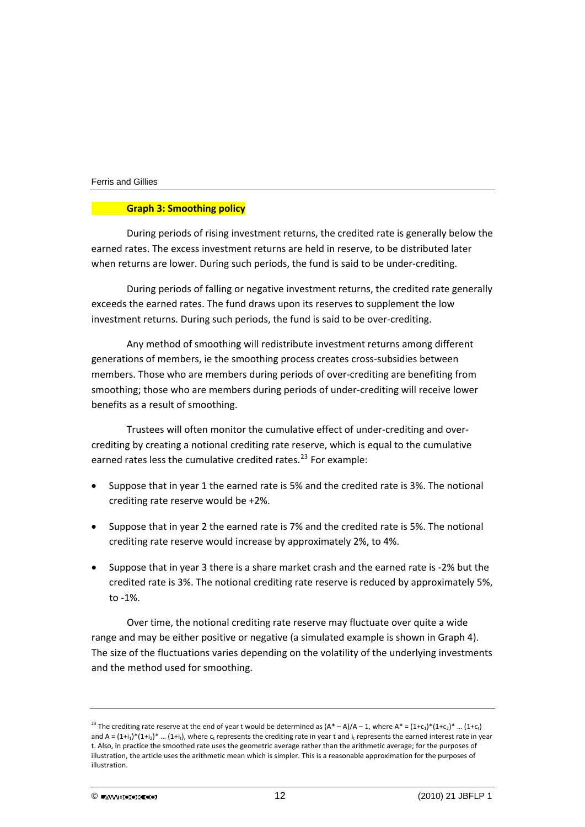## **Graph 3: Smoothing policy**

During periods of rising investment returns, the credited rate is generally below the earned rates. The excess investment returns are held in reserve, to be distributed later when returns are lower. During such periods, the fund is said to be under‐crediting.

During periods of falling or negative investment returns, the credited rate generally exceeds the earned rates. The fund draws upon its reserves to supplement the low investment returns. During such periods, the fund is said to be over‐crediting.

Any method of smoothing will redistribute investment returns among different generations of members, ie the smoothing process creates cross‐subsidies between members. Those who are members during periods of over‐crediting are benefiting from smoothing; those who are members during periods of under-crediting will receive lower benefits as a result of smoothing.

Trustees will often monitor the cumulative effect of under‐crediting and over‐ crediting by creating a notional crediting rate reserve, which is equal to the cumulative earned rates less the cumulative credited rates.<sup>[23](#page-12-0)</sup> For example:

- Suppose that in year 1 the earned rate is 5% and the credited rate is 3%. The notional crediting rate reserve would be +2%.
- Suppose that in year 2 the earned rate is 7% and the credited rate is 5%. The notional crediting rate reserve would increase by approximately 2%, to 4%.
- Suppose that in year 3 there is a share market crash and the earned rate is ‐2% but the credited rate is 3%. The notional crediting rate reserve is reduced by approximately 5%, to ‐1%.

Over time, the notional crediting rate reserve may fluctuate over quite a wide range and may be either positive or negative (a simulated example is shown in Graph 4). The size of the fluctuations varies depending on the volatility of the underlying investments and the method used for smoothing.

<span id="page-12-0"></span><sup>&</sup>lt;sup>23</sup> The crediting rate reserve at the end of year t would be determined as  $(A^* - A)/A - 1$ , where  $A^* = (1+c_1)^*(1+c_2)^* ... (1+c_t)$ and  $A = (1+i_1)^*(1+i_2)^* ... (1+i_t)$ , where  $c_t$  represents the crediting rate in year t and  $i_t$  represents the earned interest rate in year t. Also, in practice the smoothed rate uses the geometric average rather than the arithmetic average; for the purposes of illustration, the article uses the arithmetic mean which is simpler. This is a reasonable approximation for the purposes of illustration.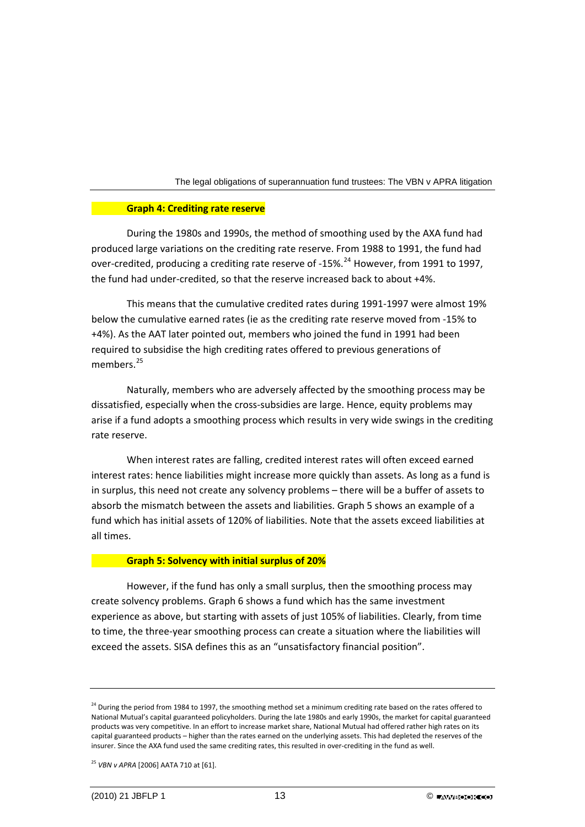## **Graph 4: Crediting rate reserve**

During the 1980s and 1990s, the method of smoothing used by the AXA fund had produced large variations on the crediting rate reserve. From 1988 to 1991, the fund had over-credited, producing a crediting rate reserve of -15%.<sup>[24](#page-13-0)</sup> However, from 1991 to 1997. the fund had under‐credited, so that the reserve increased back to about +4%.

This means that the cumulative credited rates during 1991‐1997 were almost 19% below the cumulative earned rates (ie as the crediting rate reserve moved from ‐15% to +4%). As the AAT later pointed out, members who joined the fund in 1991 had been required to subsidise the high crediting rates offered to previous generations of members.<sup>[25](#page-13-1)</sup>

Naturally, members who are adversely affected by the smoothing process may be dissatisfied, especially when the cross‐subsidies are large. Hence, equity problems may arise if a fund adopts a smoothing process which results in very wide swings in the crediting rate reserve.

When interest rates are falling, credited interest rates will often exceed earned interest rates: hence liabilities might increase more quickly than assets. As long as a fund is in surplus, this need not create any solvency problems – there will be a buffer of assets to absorb the mismatch between the assets and liabilities. Graph 5 shows an example of a fund which has initial assets of 120% of liabilities. Note that the assets exceed liabilities at all times.

#### **Graph 5: Solvency with initial surplus of 20%**

However, if the fund has only a small surplus, then the smoothing process may create solvency problems. Graph 6 shows a fund which has the same investment experience as above, but starting with assets of just 105% of liabilities. Clearly, from time to time, the three‐year smoothing process can create a situation where the liabilities will exceed the assets. SISA defines this as an "unsatisfactory financial position".

<span id="page-13-0"></span><sup>&</sup>lt;sup>24</sup> During the period from 1984 to 1997, the smoothing method set a minimum crediting rate based on the rates offered to National Mutual's capital guaranteed policyholders. During the late 1980s and early 1990s, the market for capital guaranteed products was very competitive. In an effort to increase market share, National Mutual had offered rather high rates on its capital guaranteed products – higher than the rates earned on the underlying assets. This had depleted the reserves of the insurer. Since the AXA fund used the same crediting rates, this resulted in over‐crediting in the fund as well.

<span id="page-13-1"></span><sup>25</sup> *VBN v APRA* [2006] AATA 710 at [61].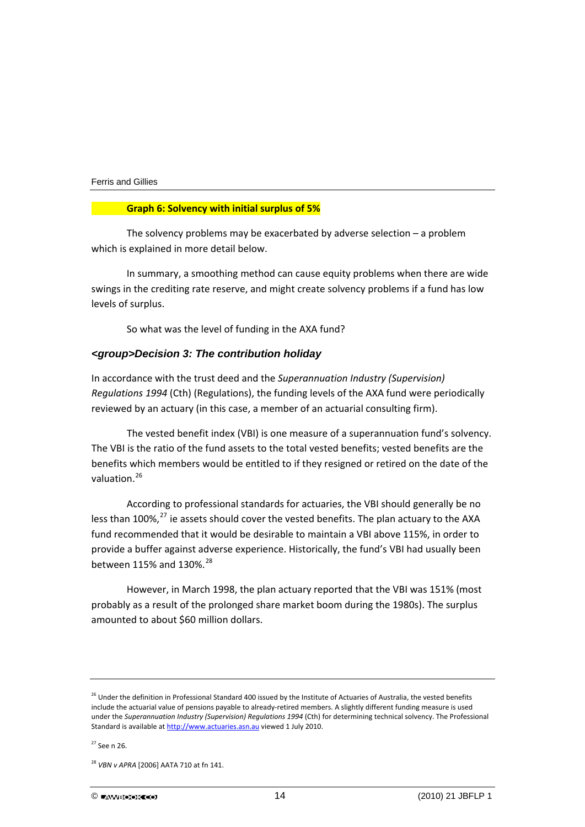## **Graph 6: Solvency with initial surplus of 5%**

The solvency problems may be exacerbated by adverse selection  $-$  a problem which is explained in more detail below.

In summary, a smoothing method can cause equity problems when there are wide swings in the crediting rate reserve, and might create solvency problems if a fund has low levels of surplus.

So what was the level of funding in the AXA fund?

## *<group>Decision 3: The contribution holiday*

In accordance with the trust deed and the *Superannuation Industry (Supervision) Regulations 1994* (Cth) (Regulations), the funding levels of the AXA fund were periodically reviewed by an actuary (in this case, a member of an actuarial consulting firm).

The vested benefit index (VBI) is one measure of a superannuation fund's solvency. The VBI is the ratio of the fund assets to the total vested benefits; vested benefits are the benefits which members would be entitled to if they resigned or retired on the date of the valuation.<sup>[26](#page-14-0)</sup>

According to professional standards for actuaries, the VBI should generally be no less than 100%,<sup>[27](#page-14-1)</sup> ie assets should cover the vested benefits. The plan actuary to the AXA fund recommended that it would be desirable to maintain a VBI above 115%, in order to provide a buffer against adverse experience. Historically, the fund's VBI had usually been between 115% and 130%.<sup>[28](#page-14-2)</sup>

However, in March 1998, the plan actuary reported that the VBI was 151% (most probably as a result of the prolonged share market boom during the 1980s). The surplus amounted to about \$60 million dollars.

<span id="page-14-0"></span><sup>&</sup>lt;sup>26</sup> Under the definition in Professional Standard 400 issued by the Institute of Actuaries of Australia, the vested benefits include the actuarial value of pensions payable to already‐retired members. A slightly different funding measure is used under the *Superannuation Industry (Supervision) Regulations 1994* (Cth) for determining technical solvency. The Professional Standard is available at [http://www.actuaries.asn.au](http://www.actuaries.asn.au/) viewed 1 July 2010.

<span id="page-14-1"></span> $27$  See n 26.

<span id="page-14-2"></span><sup>28</sup> *VBN v APRA* [2006] AATA 710 at fn 141.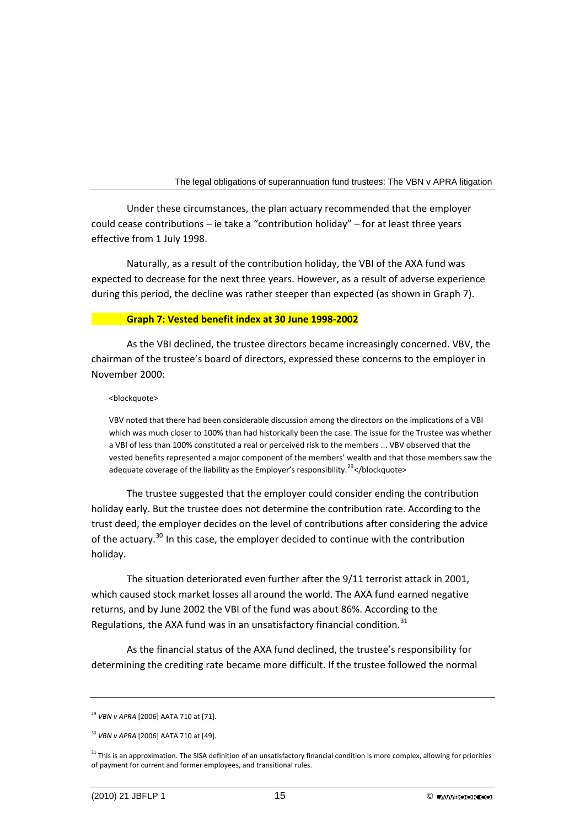Under these circumstances, the plan actuary recommended that the employer could cease contributions – ie take a "contribution holiday" – for at least three years effective from 1 July 1998.

Naturally, as a result of the contribution holiday, the VBI of the AXA fund was expected to decrease for the next three years. However, as a result of adverse experience during this period, the decline was rather steeper than expected (as shown in Graph 7).

## **Graph 7: Vested benefit index at 30 June 1998‐2002**

As the VBI declined, the trustee directors became increasingly concerned. VBV, the chairman of the trustee's board of directors, expressed these concerns to the employer in November 2000:

### <blockquote>

VBV noted that there had been considerable discussion among the directors on the implications of a VBI which was much closer to 100% than had historically been the case. The issue for the Trustee was whether a VBI of less than 100% constituted a real or perceived risk to the members ... VBV observed that the vested benefits represented a major component of the members' wealth and that those members saw the adequate coverage of the liability as the Employer's responsibility.<sup>[29](#page-15-0)</sup></blockquote>

The trustee suggested that the employer could consider ending the contribution holiday early. But the trustee does not determine the contribution rate. According to the trust deed, the employer decides on the level of contributions after considering the advice of the actuary.<sup>[30](#page-15-1)</sup> In this case, the employer decided to continue with the contribution holiday.

The situation deteriorated even further after the 9/11 terrorist attack in 2001, which caused stock market losses all around the world. The AXA fund earned negative returns, and by June 2002 the VBI of the fund was about 86%. According to the Regulations, the AXA fund was in an unsatisfactory financial condition. $31$ 

As the financial status of the AXA fund declined, the trustee's responsibility for determining the crediting rate became more difficult. If the trustee followed the normal

<span id="page-15-0"></span><sup>29</sup> *VBN v APRA* [2006] AATA 710 at [71].

<span id="page-15-1"></span><sup>30</sup> *VBN v APRA* [2006] AATA 710 at [49].

<span id="page-15-2"></span><sup>&</sup>lt;sup>31</sup> This is an approximation. The SISA definition of an unsatisfactory financial condition is more complex, allowing for priorities of payment for current and former employees, and transitional rules.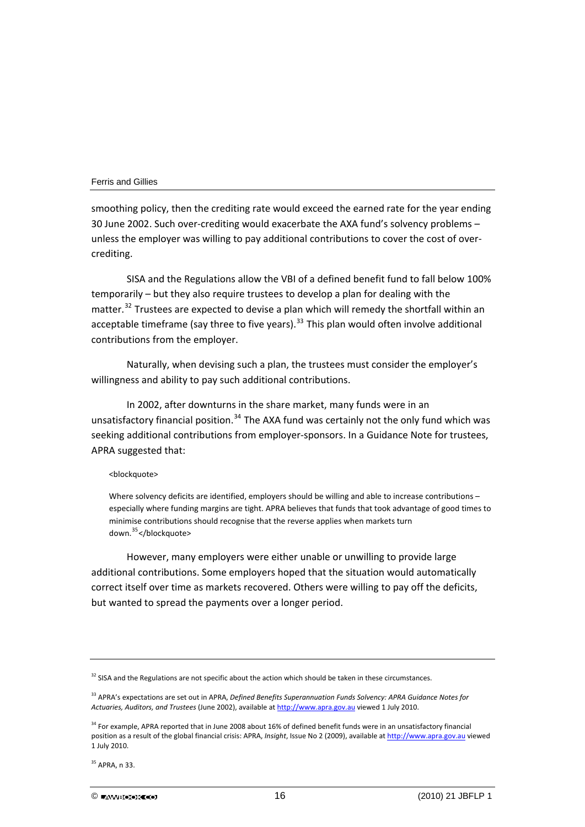smoothing policy, then the crediting rate would exceed the earned rate for the year ending 30 June 2002. Such over‐crediting would exacerbate the AXA fund's solvency problems – unless the employer was willing to pay additional contributions to cover the cost of over‐ crediting.

SISA and the Regulations allow the VBI of a defined benefit fund to fall below 100% temporarily – but they also require trustees to develop a plan for dealing with the matter.<sup>[32](#page-16-0)</sup> Trustees are expected to devise a plan which will remedy the shortfall within an acceptable timeframe (say three to five years). $33$  This plan would often involve additional contributions from the employer.

Naturally, when devising such a plan, the trustees must consider the employer's willingness and ability to pay such additional contributions.

In 2002, after downturns in the share market, many funds were in an unsatisfactory financial position.<sup>[34](#page-16-2)</sup> The AXA fund was certainly not the only fund which was seeking additional contributions from employer-sponsors. In a Guidance Note for trustees, APRA suggested that:

#### <blockquote>

Where solvency deficits are identified, employers should be willing and able to increase contributions especially where funding margins are tight. APRA believes that funds that took advantage of good times to minimise contributions should recognise that the reverse applies when markets turn down.<sup>[35](#page-16-3)</sup></blockquote>

However, many employers were either unable or unwilling to provide large additional contributions. Some employers hoped that the situation would automatically correct itself over time as markets recovered. Others were willing to pay off the deficits, but wanted to spread the payments over a longer period.

<span id="page-16-0"></span> $32$  SISA and the Regulations are not specific about the action which should be taken in these circumstances.

<span id="page-16-1"></span><sup>33</sup> APRA's expectations are set out in APRA, *Defined Benefits Superannuation Funds Solvency: APRA Guidance Notes for Actuaries, Auditors, and Trustees* (June 2002), available at [http://www.apra.gov.au](http://www.apra.gov.au/) viewed 1 July 2010.

<span id="page-16-2"></span><sup>&</sup>lt;sup>34</sup> For example, APRA reported that in June 2008 about 16% of defined benefit funds were in an unsatisfactory financial position as a result of the global financial crisis: APRA, *Insight*, Issue No 2 (2009), available at [http://www.apra.gov.au](http://www.apra.gov.au/) viewed 1 July 2010.

<span id="page-16-3"></span><sup>35</sup> APRA, n 33.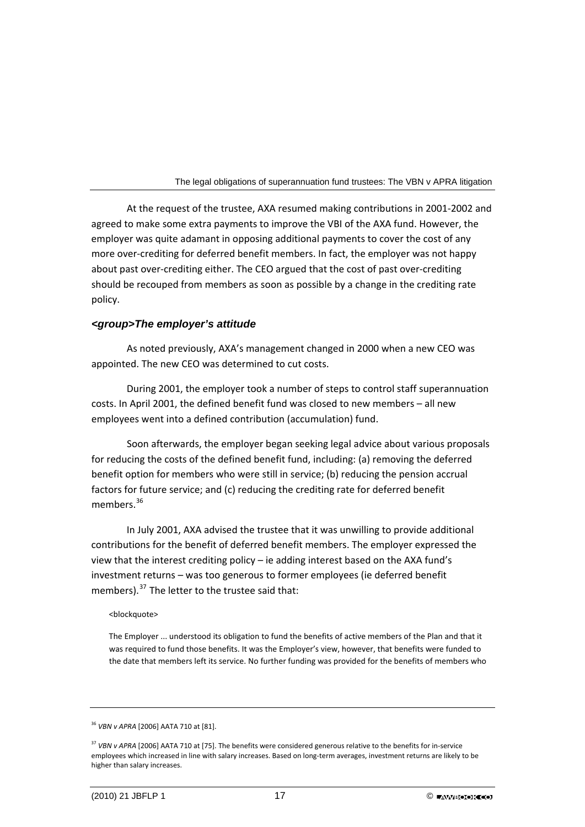At the request of the trustee, AXA resumed making contributions in 2001‐2002 and agreed to make some extra payments to improve the VBI of the AXA fund. However, the employer was quite adamant in opposing additional payments to cover the cost of any more over‐crediting for deferred benefit members. In fact, the employer was not happy about past over‐crediting either. The CEO argued that the cost of past over‐crediting should be recouped from members as soon as possible by a change in the crediting rate policy.

## *<group>The employer's attitude*

As noted previously, AXA's management changed in 2000 when a new CEO was appointed. The new CEO was determined to cut costs.

During 2001, the employer took a number of steps to control staff superannuation costs. In April 2001, the defined benefit fund was closed to new members – all new employees went into a defined contribution (accumulation) fund.

Soon afterwards, the employer began seeking legal advice about various proposals for reducing the costs of the defined benefit fund, including: (a) removing the deferred benefit option for members who were still in service; (b) reducing the pension accrual factors for future service; and (c) reducing the crediting rate for deferred benefit members.<sup>[36](#page-17-0)</sup>

In July 2001, AXA advised the trustee that it was unwilling to provide additional contributions for the benefit of deferred benefit members. The employer expressed the view that the interest crediting policy – ie adding interest based on the AXA fund's investment returns – was too generous to former employees (ie deferred benefit members).<sup>[37](#page-17-1)</sup> The letter to the trustee said that:

#### <blockquote>

The Employer ... understood its obligation to fund the benefits of active members of the Plan and that it was required to fund those benefits. It was the Employer's view, however, that benefits were funded to the date that members left its service. No further funding was provided for the benefits of members who

<span id="page-17-0"></span><sup>36</sup> *VBN v APRA* [2006] AATA 710 at [81].

<span id="page-17-1"></span><sup>37</sup> *VBN v APRA* [2006] AATA 710 at [75]. The benefits were considered generous relative to the benefits for in‐service employees which increased in line with salary increases. Based on long-term averages, investment returns are likely to be higher than salary increases.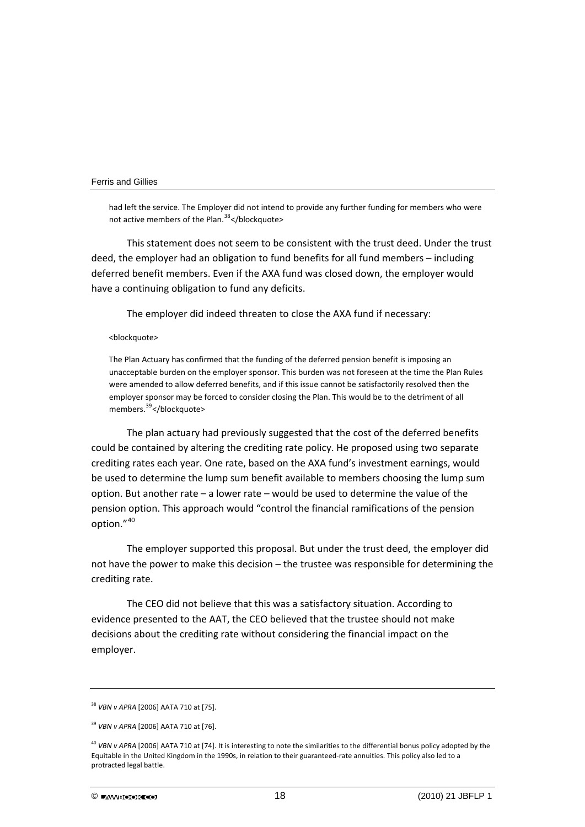had left the service. The Employer did not intend to provide any further funding for members who were not active members of the Plan.<sup>[38](#page-18-0)</sup> </blockquote>

This statement does not seem to be consistent with the trust deed. Under the trust deed, the employer had an obligation to fund benefits for all fund members – including deferred benefit members. Even if the AXA fund was closed down, the employer would have a continuing obligation to fund any deficits.

The employer did indeed threaten to close the AXA fund if necessary:

<blockquote>

The Plan Actuary has confirmed that the funding of the deferred pension benefit is imposing an unacceptable burden on the employer sponsor. This burden was not foreseen at the time the Plan Rules were amended to allow deferred benefits, and if this issue cannot be satisfactorily resolved then the employer sponsor may be forced to consider closing the Plan. This would be to the detriment of all members.<sup>[39](#page-18-1)</sup></blockquote>

The plan actuary had previously suggested that the cost of the deferred benefits could be contained by altering the crediting rate policy. He proposed using two separate crediting rates each year. One rate, based on the AXA fund's investment earnings, would be used to determine the lump sum benefit available to members choosing the lump sum option. But another rate – a lower rate – would be used to determine the value of the pension option. This approach would "control the financial ramifications of the pension option."[40](#page-18-2)

The employer supported this proposal. But under the trust deed, the employer did not have the power to make this decision – the trustee was responsible for determining the crediting rate.

The CEO did not believe that this was a satisfactory situation. According to evidence presented to the AAT, the CEO believed that the trustee should not make decisions about the crediting rate without considering the financial impact on the employer.

<span id="page-18-0"></span><sup>38</sup> *VBN v APRA* [2006] AATA 710 at [75].

<span id="page-18-1"></span><sup>39</sup> *VBN v APRA* [2006] AATA 710 at [76].

<span id="page-18-2"></span><sup>40</sup> *VBN v APRA* [2006] AATA 710 at [74]. It is interesting to note the similarities to the differential bonus policy adopted by the Equitable in the United Kingdom in the 1990s, in relation to their guaranteed-rate annuities. This policy also led to a protracted legal battle.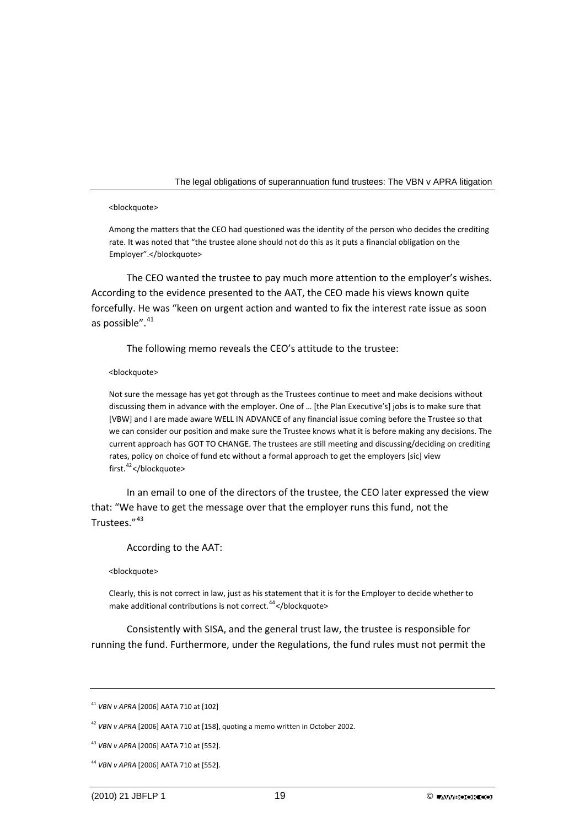#### <blockquote>

Among the matters that the CEO had questioned was the identity of the person who decides the crediting rate. It was noted that "the trustee alone should not do this as it puts a financial obligation on the Employer".</blockquote>

The CEO wanted the trustee to pay much more attention to the employer's wishes. According to the evidence presented to the AAT, the CEO made his views known quite forcefully. He was "keen on urgent action and wanted to fix the interest rate issue as soon as possible".<sup>[41](#page-19-0)</sup>

The following memo reveals the CEO's attitude to the trustee:

#### <blockquote>

Not sure the message has yet got through as the Trustees continue to meet and make decisions without discussing them in advance with the employer. One of … [the Plan Executive's] jobs is to make sure that [VBW] and I are made aware WELL IN ADVANCE of any financial issue coming before the Trustee so that we can consider our position and make sure the Trustee knows what it is before making any decisions. The current approach has GOT TO CHANGE. The trustees are still meeting and discussing/deciding on crediting rates, policy on choice of fund etc without a formal approach to get the employers [sic] view first.<sup>[42](#page-19-1)</sup></blockquote>

In an email to one of the directors of the trustee, the CEO later expressed the view that: "We have to get the message over that the employer runs this fund, not the Trustees<sup>"[43](#page-19-2)</sup>

#### According to the AAT:

#### <blockquote>

Clearly, this is not correct in law, just as his statement that it is for the Employer to decide whether to make additional contributions is not correct.<sup>[44](#page-19-3)</sup></blockquote>

Consistently with SISA, and the general trust law, the trustee is responsible for running the fund. Furthermore, under the Regulations, the fund rules must not permit the

<span id="page-19-0"></span><sup>41</sup> *VBN v APRA* [2006] AATA 710 at [102]

<span id="page-19-1"></span><sup>42</sup> *VBN v APRA* [2006] AATA 710 at [158], quoting a memo written in October 2002.

<span id="page-19-2"></span><sup>43</sup> *VBN v APRA* [2006] AATA 710 at [552].

<span id="page-19-3"></span><sup>44</sup> *VBN v APRA* [2006] AATA 710 at [552].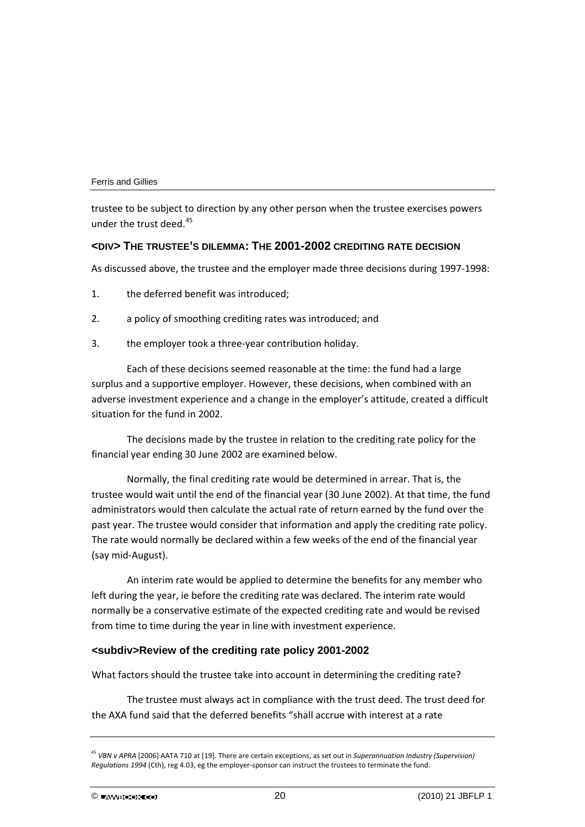trustee to be subject to direction by any other person when the trustee exercises powers under the trust deed. $45$ 

## **<DIV> THE TRUSTEE'S DILEMMA: THE 2001-2002 CREDITING RATE DECISION**

As discussed above, the trustee and the employer made three decisions during 1997‐1998:

- 1. the deferred benefit was introduced;
- 2. a policy of smoothing crediting rates was introduced; and
- 3. the employer took a three-year contribution holiday.

Each of these decisions seemed reasonable at the time: the fund had a large surplus and a supportive employer. However, these decisions, when combined with an adverse investment experience and a change in the employer's attitude, created a difficult situation for the fund in 2002.

The decisions made by the trustee in relation to the crediting rate policy for the financial year ending 30 June 2002 are examined below.

Normally, the final crediting rate would be determined in arrear. That is, the trustee would wait until the end of the financial year (30 June 2002). At that time, the fund administrators would then calculate the actual rate of return earned by the fund over the past year. The trustee would consider that information and apply the crediting rate policy. The rate would normally be declared within a few weeks of the end of the financial year (say mid‐August).

An interim rate would be applied to determine the benefits for any member who left during the year, ie before the crediting rate was declared. The interim rate would normally be a conservative estimate of the expected crediting rate and would be revised from time to time during the year in line with investment experience.

## **<subdiv>Review of the crediting rate policy 2001-2002**

What factors should the trustee take into account in determining the crediting rate?

The trustee must always act in compliance with the trust deed. The trust deed for the AXA fund said that the deferred benefits "shall accrue with interest at a rate

<span id="page-20-0"></span><sup>45</sup> *VBN v APRA* [2006] AATA 710 at [19]. There are certain exceptions, as set out in *Superannuation Industry (Supervision) Regulations 1994* (Cth), reg 4.03, eg the employer‐sponsor can instruct the trustees to terminate the fund.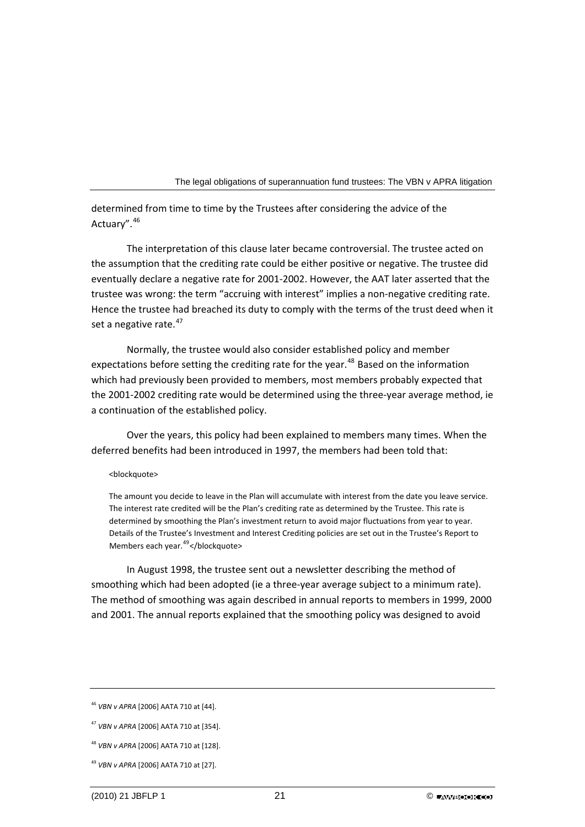determined from time to time by the Trustees after considering the advice of the Actuary".[46](#page-21-0)

The interpretation of this clause later became controversial. The trustee acted on the assumption that the crediting rate could be either positive or negative. The trustee did eventually declare a negative rate for 2001‐2002. However, the AAT later asserted that the trustee was wrong: the term "accruing with interest" implies a non‐negative crediting rate. Hence the trustee had breached its duty to comply with the terms of the trust deed when it set a negative rate.<sup>[47](#page-21-1)</sup>

Normally, the trustee would also consider established policy and member expectations before setting the crediting rate for the year.<sup>[48](#page-21-2)</sup> Based on the information which had previously been provided to members, most members probably expected that the 2001‐2002 crediting rate would be determined using the three‐year average method, ie a continuation of the established policy.

Over the years, this policy had been explained to members many times. When the deferred benefits had been introduced in 1997, the members had been told that:

## <blockquote>

The amount you decide to leave in the Plan will accumulate with interest from the date you leave service. The interest rate credited will be the Plan's crediting rate as determined by the Trustee. This rate is determined by smoothing the Plan's investment return to avoid major fluctuations from year to year. Details of the Trustee's Investment and Interest Crediting policies are set out in the Trustee's Report to Members each year.<sup>[49](#page-21-3)</sup></blockquote>

In August 1998, the trustee sent out a newsletter describing the method of smoothing which had been adopted (ie a three‐year average subject to a minimum rate). The method of smoothing was again described in annual reports to members in 1999, 2000 and 2001. The annual reports explained that the smoothing policy was designed to avoid

<span id="page-21-0"></span><sup>46</sup> *VBN v APRA* [2006] AATA 710 at [44].

<span id="page-21-1"></span><sup>47</sup> *VBN v APRA* [2006] AATA 710 at [354].

<span id="page-21-2"></span><sup>48</sup> *VBN v APRA* [2006] AATA 710 at [128].

<span id="page-21-3"></span><sup>49</sup> *VBN v APRA* [2006] AATA 710 at [27].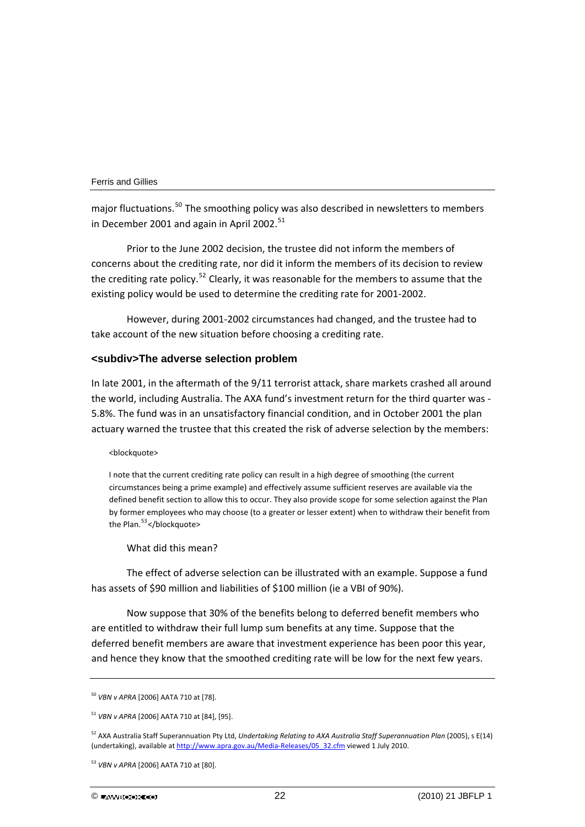major fluctuations.<sup>[50](#page-22-0)</sup> The smoothing policy was also described in newsletters to members in December 2001 and again in April 2002. $51$ 

Prior to the June 2002 decision, the trustee did not inform the members of concerns about the crediting rate, nor did it inform the members of its decision to review the crediting rate policy.<sup>[52](#page-22-2)</sup> Clearly, it was reasonable for the members to assume that the existing policy would be used to determine the crediting rate for 2001‐2002.

However, during 2001‐2002 circumstances had changed, and the trustee had to take account of the new situation before choosing a crediting rate.

## **<subdiv>The adverse selection problem**

In late 2001, in the aftermath of the 9/11 terrorist attack, share markets crashed all around the world, including Australia. The AXA fund's investment return for the third quarter was ‐ 5.8%. The fund was in an unsatisfactory financial condition, and in October 2001 the plan actuary warned the trustee that this created the risk of adverse selection by the members:

#### <blockquote>

I note that the current crediting rate policy can result in a high degree of smoothing (the current circumstances being a prime example) and effectively assume sufficient reserves are available via the defined benefit section to allow this to occur. They also provide scope for some selection against the Plan by former employees who may choose (to a greater or lesser extent) when to withdraw their benefit from the Plan.<sup>[53](#page-22-3)</sup></blockquote>

#### What did this mean?

The effect of adverse selection can be illustrated with an example. Suppose a fund has assets of \$90 million and liabilities of \$100 million (ie a VBI of 90%).

Now suppose that 30% of the benefits belong to deferred benefit members who are entitled to withdraw their full lump sum benefits at any time. Suppose that the deferred benefit members are aware that investment experience has been poor this year, and hence they know that the smoothed crediting rate will be low for the next few years.

<span id="page-22-0"></span><sup>50</sup> *VBN v APRA* [2006] AATA 710 at [78].

<span id="page-22-1"></span><sup>51</sup> *VBN v APRA* [2006] AATA 710 at [84], [95].

<span id="page-22-2"></span><sup>52</sup> AXA Australia Staff Superannuation Pty Ltd, *Undertaking Relating to AXA Australia Staff Superannuation Plan* (2005), s E(14) (undertaking), available at [http://www.apra.gov.au/Media](http://www.apra.gov.au/Media-Releases/05_32.cfm)‐Releases/05\_32.cfm viewed 1 July 2010.

<span id="page-22-3"></span><sup>53</sup> *VBN v APRA* [2006] AATA 710 at [80].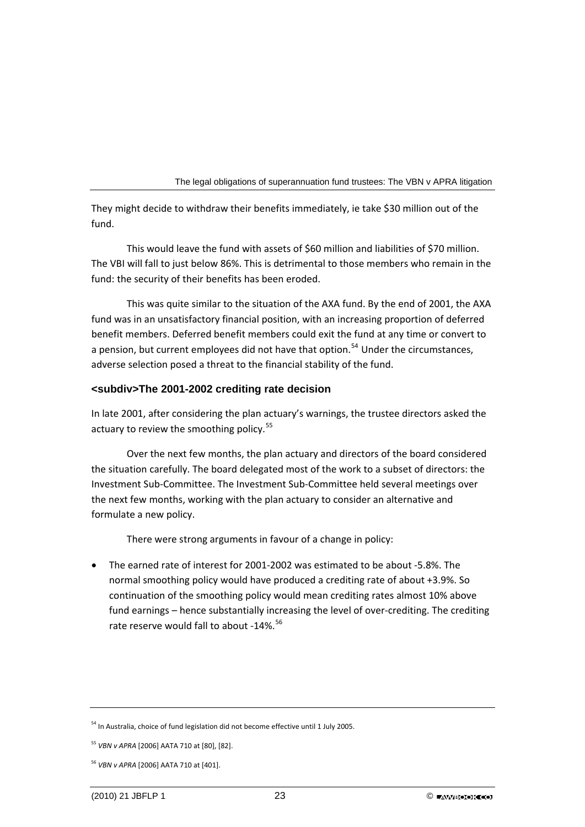They might decide to withdraw their benefits immediately, ie take \$30 million out of the fund.

This would leave the fund with assets of \$60 million and liabilities of \$70 million. The VBI will fall to just below 86%. This is detrimental to those members who remain in the fund: the security of their benefits has been eroded.

This was quite similar to the situation of the AXA fund. By the end of 2001, the AXA fund was in an unsatisfactory financial position, with an increasing proportion of deferred benefit members. Deferred benefit members could exit the fund at any time or convert to a pension, but current employees did not have that option.<sup>[54](#page-23-0)</sup> Under the circumstances, adverse selection posed a threat to the financial stability of the fund.

## **<subdiv>The 2001-2002 crediting rate decision**

In late 2001, after considering the plan actuary's warnings, the trustee directors asked the actuary to review the smoothing policy.<sup>[55](#page-23-1)</sup>

Over the next few months, the plan actuary and directors of the board considered the situation carefully. The board delegated most of the work to a subset of directors: the Investment Sub‐Committee. The Investment Sub‐Committee held several meetings over the next few months, working with the plan actuary to consider an alternative and formulate a new policy.

There were strong arguments in favour of a change in policy:

• The earned rate of interest for 2001‐2002 was estimated to be about ‐5.8%. The normal smoothing policy would have produced a crediting rate of about +3.9%. So continuation of the smoothing policy would mean crediting rates almost 10% above fund earnings – hence substantially increasing the level of over-crediting. The crediting rate reserve would fall to about -14%.<sup>[56](#page-23-2)</sup>

<span id="page-23-0"></span><sup>&</sup>lt;sup>54</sup> In Australia, choice of fund legislation did not become effective until 1 July 2005.

<span id="page-23-1"></span><sup>55</sup> *VBN v APRA* [2006] AATA 710 at [80], [82].

<span id="page-23-2"></span><sup>56</sup> *VBN v APRA* [2006] AATA 710 at [401].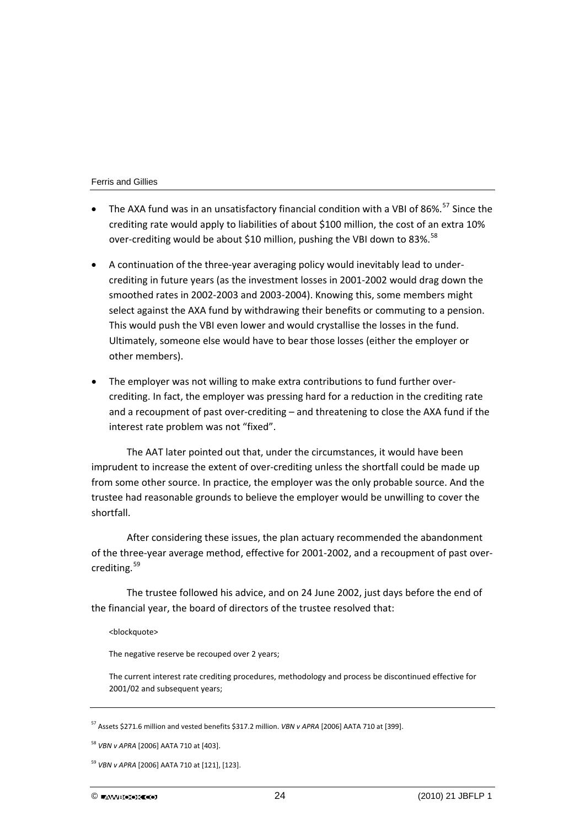- The AXA fund was in an unsatisfactory financial condition with a VBI of 86%.<sup>[57](#page-24-0)</sup> Since the crediting rate would apply to liabilities of about \$100 million, the cost of an extra 10% over-crediting would be about \$10 million, pushing the VBI down to 83%.<sup>[58](#page-24-1)</sup>
- A continuation of the three‐year averaging policy would inevitably lead to under‐ crediting in future years (as the investment losses in 2001‐2002 would drag down the smoothed rates in 2002‐2003 and 2003‐2004). Knowing this, some members might select against the AXA fund by withdrawing their benefits or commuting to a pension. This would push the VBI even lower and would crystallise the losses in the fund. Ultimately, someone else would have to bear those losses (either the employer or other members).
- The employer was not willing to make extra contributions to fund further overcrediting. In fact, the employer was pressing hard for a reduction in the crediting rate and a recoupment of past over‐crediting – and threatening to close the AXA fund if the interest rate problem was not "fixed".

The AAT later pointed out that, under the circumstances, it would have been imprudent to increase the extent of over-crediting unless the shortfall could be made up from some other source. In practice, the employer was the only probable source. And the trustee had reasonable grounds to believe the employer would be unwilling to cover the shortfall.

After considering these issues, the plan actuary recommended the abandonment of the three‐year average method, effective for 2001‐2002, and a recoupment of past over‐ crediting.<sup>[59](#page-24-2)</sup>

The trustee followed his advice, and on 24 June 2002, just days before the end of the financial year, the board of directors of the trustee resolved that:

#### <blockquote>

The negative reserve be recouped over 2 years;

The current interest rate crediting procedures, methodology and process be discontinued effective for 2001/02 and subsequent years;

<span id="page-24-0"></span><sup>57</sup> Assets \$271.6 million and vested benefits \$317.2 million. *VBN v APRA* [2006] AATA 710 at [399].

<span id="page-24-1"></span><sup>58</sup> *VBN v APRA* [2006] AATA 710 at [403].

<span id="page-24-2"></span><sup>59</sup> *VBN v APRA* [2006] AATA 710 at [121], [123].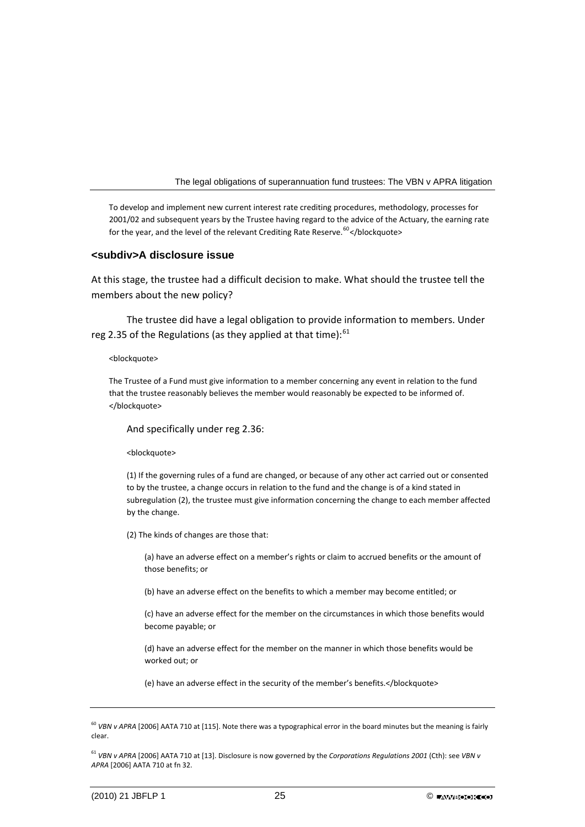To develop and implement new current interest rate crediting procedures, methodology, processes for 2001/02 and subsequent years by the Trustee having regard to the advice of the Actuary, the earning rate for the year, and the level of the relevant Crediting Rate Reserve.<sup>[60](#page-25-0)</sup> </blockquote>

## **<subdiv>A disclosure issue**

At this stage, the trustee had a difficult decision to make. What should the trustee tell the members about the new policy?

The trustee did have a legal obligation to provide information to members. Under reg 2.35 of the Regulations (as they applied at that time): $61$ 

#### <blockquote>

The Trustee of a Fund must give information to a member concerning any event in relation to the fund that the trustee reasonably believes the member would reasonably be expected to be informed of. </blockquote>

And specifically under reg 2.36:

<blockquote>

(1) If the governing rules of a fund are changed, or because of any other act carried out or consented to by the trustee, a change occurs in relation to the fund and the change is of a kind stated in subregulation (2), the trustee must give information concerning the change to each member affected by the change.

(2) The kinds of changes are those that:

(a) have an adverse effect on a member's rights or claim to accrued benefits or the amount of those benefits; or

(b) have an adverse effect on the benefits to which a member may become entitled; or

(c) have an adverse effect for the member on the circumstances in which those benefits would become payable; or

(d) have an adverse effect for the member on the manner in which those benefits would be worked out; or

(e) have an adverse effect in the security of the member's benefits.</blockquote>

<span id="page-25-0"></span><sup>60</sup> *VBN v APRA* [2006] AATA 710 at [115]. Note there was a typographical error in the board minutes but the meaning is fairly clear.

<sup>61</sup> *VBN v APRA* [2006] AATA 710 at [13]. Disclosure is now governed by the *Corporations Regulations 2001* (Cth): see *VBN v APRA* [2006] AATA 710 at fn 32.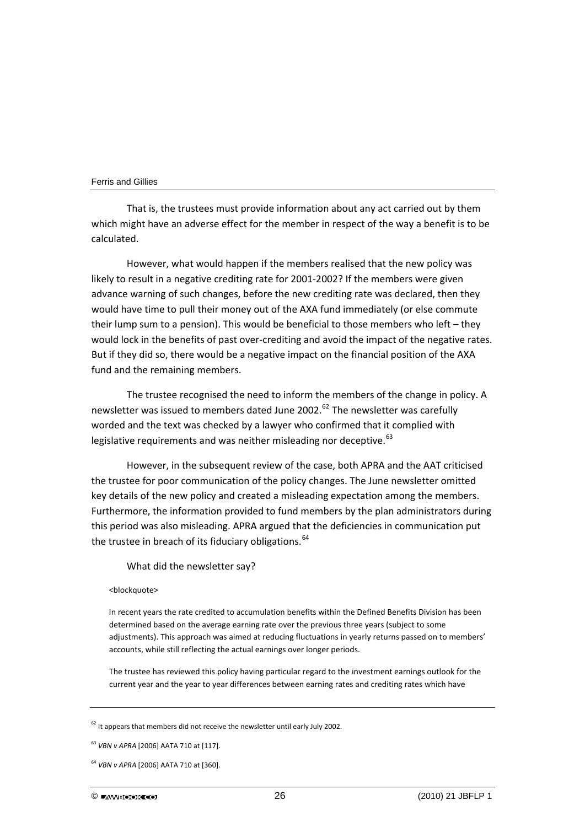That is, the trustees must provide information about any act carried out by them which might have an adverse effect for the member in respect of the way a benefit is to be calculated.

However, what would happen if the members realised that the new policy was likely to result in a negative crediting rate for 2001‐2002? If the members were given advance warning of such changes, before the new crediting rate was declared, then they would have time to pull their money out of the AXA fund immediately (or else commute their lump sum to a pension). This would be beneficial to those members who left – they would lock in the benefits of past over-crediting and avoid the impact of the negative rates. But if they did so, there would be a negative impact on the financial position of the AXA fund and the remaining members.

The trustee recognised the need to inform the members of the change in policy. A newsletter was issued to members dated June 2002. $^{62}$  $^{62}$  $^{62}$  The newsletter was carefully worded and the text was checked by a lawyer who confirmed that it complied with legislative requirements and was neither misleading nor deceptive.<sup>[63](#page-26-1)</sup>

However, in the subsequent review of the case, both APRA and the AAT criticised the trustee for poor communication of the policy changes. The June newsletter omitted key details of the new policy and created a misleading expectation among the members. Furthermore, the information provided to fund members by the plan administrators during this period was also misleading. APRA argued that the deficiencies in communication put the trustee in breach of its fiduciary obligations.<sup>[64](#page-26-2)</sup>

### What did the newsletter say?

#### <blockquote>

In recent years the rate credited to accumulation benefits within the Defined Benefits Division has been determined based on the average earning rate over the previous three years (subject to some adjustments). This approach was aimed at reducing fluctuations in yearly returns passed on to members' accounts, while still reflecting the actual earnings over longer periods.

The trustee has reviewed this policy having particular regard to the investment earnings outlook for the current year and the year to year differences between earning rates and crediting rates which have

<span id="page-26-0"></span> $62$  It appears that members did not receive the newsletter until early July 2002.

<span id="page-26-1"></span><sup>63</sup> *VBN v APRA* [2006] AATA 710 at [117].

<span id="page-26-2"></span><sup>64</sup> *VBN v APRA* [2006] AATA 710 at [360].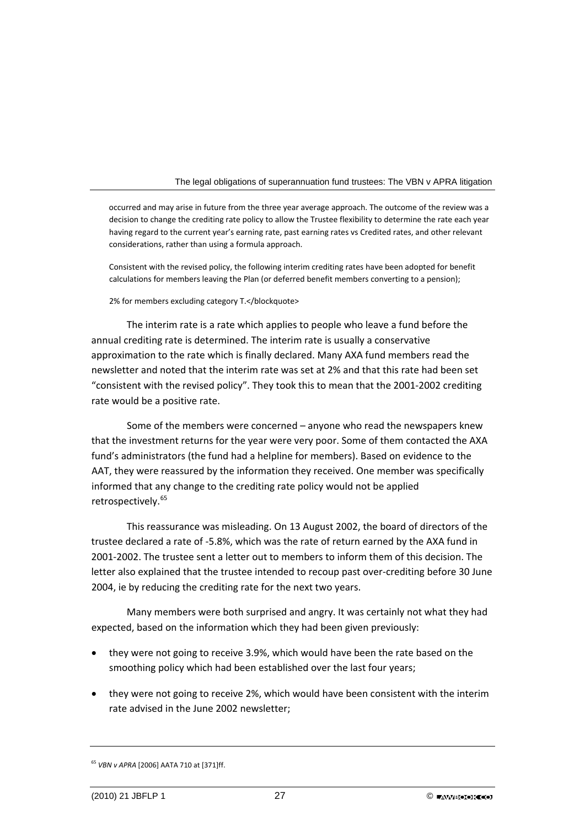occurred and may arise in future from the three year average approach. The outcome of the review was a decision to change the crediting rate policy to allow the Trustee flexibility to determine the rate each year having regard to the current year's earning rate, past earning rates vs Credited rates, and other relevant considerations, rather than using a formula approach.

Consistent with the revised policy, the following interim crediting rates have been adopted for benefit calculations for members leaving the Plan (or deferred benefit members converting to a pension);

#### 2% for members excluding category T.</blockquote>

The interim rate is a rate which applies to people who leave a fund before the annual crediting rate is determined. The interim rate is usually a conservative approximation to the rate which is finally declared. Many AXA fund members read the newsletter and noted that the interim rate was set at 2% and that this rate had been set "consistent with the revised policy". They took this to mean that the 2001‐2002 crediting rate would be a positive rate.

Some of the members were concerned – anyone who read the newspapers knew that the investment returns for the year were very poor. Some of them contacted the AXA fund's administrators (the fund had a helpline for members). Based on evidence to the AAT, they were reassured by the information they received. One member was specifically informed that any change to the crediting rate policy would not be applied retrospectively.<sup>[65](#page-27-0)</sup>

This reassurance was misleading. On 13 August 2002, the board of directors of the trustee declared a rate of ‐5.8%, which was the rate of return earned by the AXA fund in 2001‐2002. The trustee sent a letter out to members to inform them of this decision. The letter also explained that the trustee intended to recoup past over-crediting before 30 June 2004, ie by reducing the crediting rate for the next two years.

Many members were both surprised and angry. It was certainly not what they had expected, based on the information which they had been given previously:

- they were not going to receive 3.9%, which would have been the rate based on the smoothing policy which had been established over the last four years;
- they were not going to receive 2%, which would have been consistent with the interim rate advised in the June 2002 newsletter;

<span id="page-27-0"></span><sup>65</sup> *VBN v APRA* [2006] AATA 710 at [371]ff.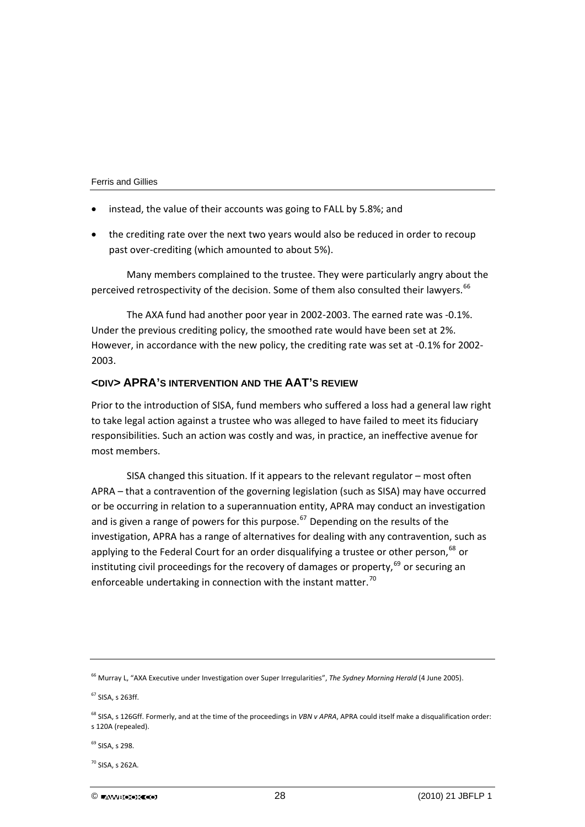- instead, the value of their accounts was going to FALL by 5.8%; and
- the crediting rate over the next two years would also be reduced in order to recoup past over-crediting (which amounted to about 5%).

Many members complained to the trustee. They were particularly angry about the perceived retrospectivity of the decision. Some of them also consulted their lawyers.<sup>[66](#page-28-0)</sup>

The AXA fund had another poor year in 2002‐2003. The earned rate was ‐0.1%. Under the previous crediting policy, the smoothed rate would have been set at 2%. However, in accordance with the new policy, the crediting rate was set at -0.1% for 2002-2003.

## **<DIV> APRA'S INTERVENTION AND THE AAT'S REVIEW**

Prior to the introduction of SISA, fund members who suffered a loss had a general law right to take legal action against a trustee who was alleged to have failed to meet its fiduciary responsibilities. Such an action was costly and was, in practice, an ineffective avenue for most members.

SISA changed this situation. If it appears to the relevant regulator – most often APRA – that a contravention of the governing legislation (such as SISA) may have occurred or be occurring in relation to a superannuation entity, APRA may conduct an investigation and is given a range of powers for this purpose.<sup>[67](#page-28-1)</sup> Depending on the results of the investigation, APRA has a range of alternatives for dealing with any contravention, such as applying to the Federal Court for an order disqualifying a trustee or other person,  $68$  or instituting civil proceedings for the recovery of damages or property,  $69$  or securing an enforceable undertaking in connection with the instant matter.<sup>[70](#page-28-4)</sup>

<span id="page-28-3"></span><sup>69</sup> SISA, s 298.

<span id="page-28-4"></span><sup>70</sup> SISA, s 262A.

<span id="page-28-0"></span><sup>66</sup> Murray L, "AXA Executive under Investigation over Super Irregularities", *The Sydney Morning Herald* (4 June 2005).

<span id="page-28-1"></span><sup>67</sup> SISA, s 263ff.

<span id="page-28-2"></span><sup>68</sup> SISA, s 126Gff. Formerly, and at the time of the proceedings in *VBN v APRA*, APRA could itself make a disqualification order: s 120A (repealed).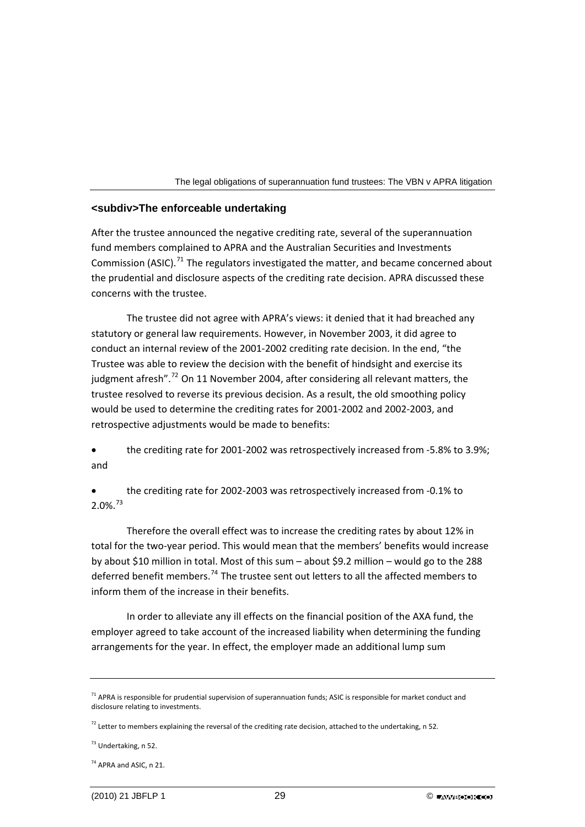

## **<subdiv>The enforceable undertaking**

After the trustee announced the negative crediting rate, several of the superannuation fund members complained to APRA and the Australian Securities and Investments Commission (ASIC).<sup>[71](#page-29-0)</sup> The regulators investigated the matter, and became concerned about the prudential and disclosure aspects of the crediting rate decision. APRA discussed these concerns with the trustee.

The trustee did not agree with APRA's views: it denied that it had breached any statutory or general law requirements. However, in November 2003, it did agree to conduct an internal review of the 2001‐2002 crediting rate decision. In the end, "the Trustee was able to review the decision with the benefit of hindsight and exercise its judgment afresh".<sup>[72](#page-29-1)</sup> On 11 November 2004, after considering all relevant matters, the trustee resolved to reverse its previous decision. As a result, the old smoothing policy would be used to determine the crediting rates for 2001‐2002 and 2002‐2003, and retrospective adjustments would be made to benefits:

• the crediting rate for 2001‐2002 was retrospectively increased from ‐5.8% to 3.9%; and

• the crediting rate for 2002‐2003 was retrospectively increased from ‐0.1% to  $2.0\%$ .<sup>[73](#page-29-2)</sup>

Therefore the overall effect was to increase the crediting rates by about 12% in total for the two‐year period. This would mean that the members' benefits would increase by about \$10 million in total. Most of this sum – about \$9.2 million – would go to the 288 deferred benefit members.[74](#page-29-3) The trustee sent out letters to all the affected members to inform them of the increase in their benefits.

In order to alleviate any ill effects on the financial position of the AXA fund, the employer agreed to take account of the increased liability when determining the funding arrangements for the year. In effect, the employer made an additional lump sum

<span id="page-29-2"></span><sup>73</sup> Undertaking, n 52.

<span id="page-29-0"></span> $71$  APRA is responsible for prudential supervision of superannuation funds; ASIC is responsible for market conduct and disclosure relating to investments.

<span id="page-29-1"></span> $^{72}$  Letter to members explaining the reversal of the crediting rate decision, attached to the undertaking, n 52.

<span id="page-29-3"></span><sup>&</sup>lt;sup>74</sup> APRA and ASIC, n 21.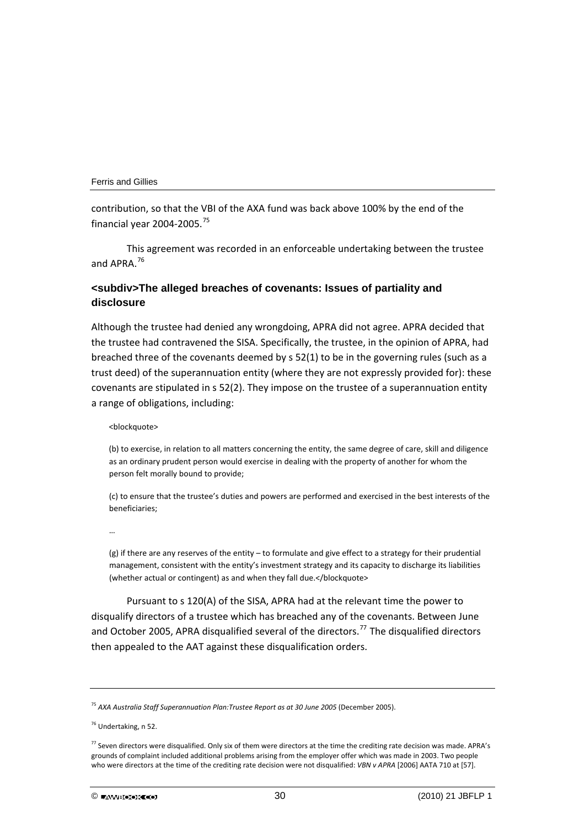contribution, so that the VBI of the AXA fund was back above 100% by the end of the financial year 2004‐2005.[75](#page-30-0)

This agreement was recorded in an enforceable undertaking between the trustee and APRA.[76](#page-30-1)

## **<subdiv>The alleged breaches of covenants: Issues of partiality and disclosure**

Although the trustee had denied any wrongdoing, APRA did not agree. APRA decided that the trustee had contravened the SISA. Specifically, the trustee, in the opinion of APRA, had breached three of the covenants deemed by s 52(1) to be in the governing rules (such as a trust deed) of the superannuation entity (where they are not expressly provided for): these covenants are stipulated in s 52(2). They impose on the trustee of a superannuation entity a range of obligations, including:

#### <blockquote>

(b) to exercise, in relation to all matters concerning the entity, the same degree of care, skill and diligence as an ordinary prudent person would exercise in dealing with the property of another for whom the person felt morally bound to provide;

(c) to ensure that the trustee's duties and powers are performed and exercised in the best interests of the beneficiaries;

…

(g) if there are any reserves of the entity – to formulate and give effect to a strategy for their prudential management, consistent with the entity's investment strategy and its capacity to discharge its liabilities (whether actual or contingent) as and when they fall due.</blockquote>

Pursuant to s 120(A) of the SISA, APRA had at the relevant time the power to disqualify directors of a trustee which has breached any of the covenants. Between June and October 2005, APRA disqualified several of the directors.<sup>[77](#page-30-2)</sup> The disqualified directors then appealed to the AAT against these disqualification orders.

<span id="page-30-0"></span><sup>75</sup> *AXA Australia Staff Superannuation Plan:Trustee Report as at 30 June 2005* (December 2005).

<span id="page-30-1"></span><sup>76</sup> Undertaking, n 52.

<span id="page-30-2"></span> $^{77}$  Seven directors were disqualified. Only six of them were directors at the time the crediting rate decision was made. APRA's grounds of complaint included additional problems arising from the employer offer which was made in 2003. Two people who were directors at the time of the crediting rate decision were not disqualified: *VBN v APRA* [2006] AATA 710 at [57].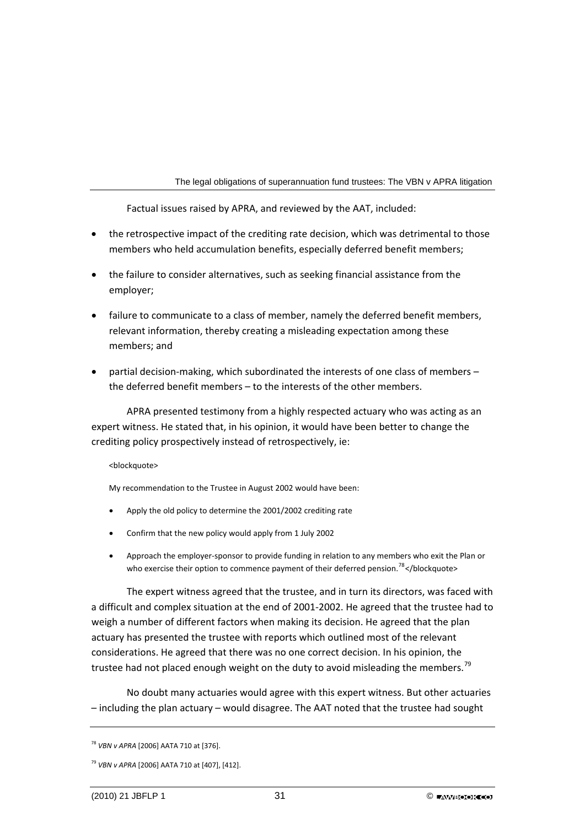Factual issues raised by APRA, and reviewed by the AAT, included:

- the retrospective impact of the crediting rate decision, which was detrimental to those members who held accumulation benefits, especially deferred benefit members;
- the failure to consider alternatives, such as seeking financial assistance from the employer;
- failure to communicate to a class of member, namely the deferred benefit members, relevant information, thereby creating a misleading expectation among these members; and
- partial decision‐making, which subordinated the interests of one class of members the deferred benefit members – to the interests of the other members.

APRA presented testimony from a highly respected actuary who was acting as an expert witness. He stated that, in his opinion, it would have been better to change the crediting policy prospectively instead of retrospectively, ie:

## <blockquote>

My recommendation to the Trustee in August 2002 would have been:

- Apply the old policy to determine the 2001/2002 crediting rate
- Confirm that the new policy would apply from 1 July 2002
- Approach the employer‐sponsor to provide funding in relation to any members who exit the Plan or who exercise their option to commence payment of their deferred pension.<sup>[78](#page-31-0)</sup></br>/blockquote>

The expert witness agreed that the trustee, and in turn its directors, was faced with a difficult and complex situation at the end of 2001‐2002. He agreed that the trustee had to weigh a number of different factors when making its decision. He agreed that the plan actuary has presented the trustee with reports which outlined most of the relevant considerations. He agreed that there was no one correct decision. In his opinion, the trustee had not placed enough weight on the duty to avoid misleading the members.<sup>[79](#page-31-1)</sup>

No doubt many actuaries would agree with this expert witness. But other actuaries – including the plan actuary – would disagree. The AAT noted that the trustee had sought

<span id="page-31-0"></span><sup>78</sup> *VBN v APRA* [2006] AATA 710 at [376].

<span id="page-31-1"></span><sup>79</sup> *VBN v APRA* [2006] AATA 710 at [407], [412].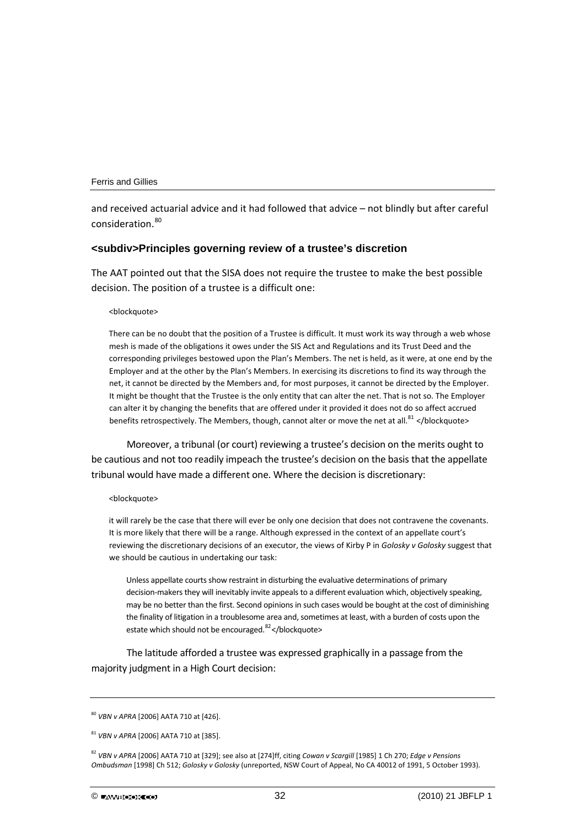and received actuarial advice and it had followed that advice – not blindly but after careful consideration.<sup>[80](#page-32-0)</sup>

#### **<subdiv>Principles governing review of a trustee's discretion**

The AAT pointed out that the SISA does not require the trustee to make the best possible decision. The position of a trustee is a difficult one:

#### <blockquote>

There can be no doubt that the position of a Trustee is difficult. It must work its way through a web whose mesh is made of the obligations it owes under the SIS Act and Regulations and its Trust Deed and the corresponding privileges bestowed upon the Plan's Members. The net is held, as it were, at one end by the Employer and at the other by the Plan's Members. In exercising its discretions to find its way through the net, it cannot be directed by the Members and, for most purposes, it cannot be directed by the Employer. It might be thought that the Trustee is the only entity that can alter the net. That is not so. The Employer can alter it by changing the benefits that are offered under it provided it does not do so affect accrued benefits retrospectively. The Members, though, cannot alter or move the net at all.<sup>[81](#page-32-0)</sup> </blockquote>

Moreover, a tribunal (or court) reviewing a trustee's decision on the merits ought to be cautious and not too readily impeach the trustee's decision on the basis that the appellate tribunal would have made a different one. Where the decision is discretionary:

#### <blockquote>

it will rarely be the case that there will ever be only one decision that does not contravene the covenants. It is more likely that there will be a range. Although expressed in the context of an appellate court's reviewing the discretionary decisions of an executor, the views of Kirby P in *Golosky v Golosky* suggest that we should be cautious in undertaking our task:

Unless appellate courts show restraint in disturbing the evaluative determinations of primary decision-makers they will inevitably invite appeals to a different evaluation which, objectively speaking, may be no better than the first. Second opinions in such cases would be bought at the cost of diminishing the finality of litigation in a troublesome area and, sometimes at least, with a burden of costs upon the estate which should not be encouraged.<sup>[82](#page-32-0)</sup></blockquote>

The latitude afforded a trustee was expressed graphically in a passage from the majority judgment in a High Court decision:

<span id="page-32-0"></span><sup>80</sup> *VBN v APRA* [2006] AATA 710 at [426].

<sup>81</sup> *VBN v APRA* [2006] AATA 710 at [385].

<sup>82</sup> *VBN v APRA* [2006] AATA 710 at [329]; see also at [274]ff, citing *Cowan v Scargill* [1985] 1 Ch 270; *Edge v Pensions Ombudsman* [1998] Ch 512; *Golosky v Golosky* (unreported, NSW Court of Appeal, No CA 40012 of 1991, 5 October 1993).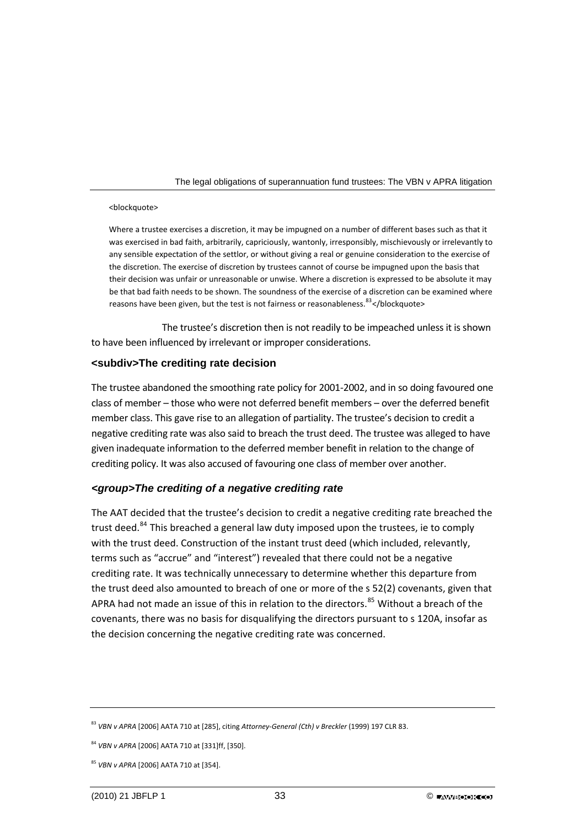#### <blockquote>

Where a trustee exercises a discretion, it may be impugned on a number of different bases such as that it was exercised in bad faith, arbitrarily, capriciously, wantonly, irresponsibly, mischievously or irrelevantly to any sensible expectation of the settlor, or without giving a real or genuine consideration to the exercise of the discretion. The exercise of discretion by trustees cannot of course be impugned upon the basis that their decision was unfair or unreasonable or unwise. Where a discretion is expressed to be absolute it may be that bad faith needs to be shown. The soundness of the exercise of a discretion can be examined where reasons have been given, but the test is not fairness or reasonableness.<sup>[83](#page-33-0)</sup></blockquote>

The trustee's discretion then is not readily to be impeached unless it is shown to have been influenced by irrelevant or improper considerations.

## **<subdiv>The crediting rate decision**

The trustee abandoned the smoothing rate policy for 2001‐2002, and in so doing favoured one class of member – those who were not deferred benefit members – over the deferred benefit member class. This gave rise to an allegation of partiality. The trustee's decision to credit a negative crediting rate was also said to breach the trust deed. The trustee was alleged to have given inadequate information to the deferred member benefit in relation to the change of crediting policy. It was also accused of favouring one class of member over another.

## *<group>The crediting of a negative crediting rate*

The AAT decided that the trustee's decision to credit a negative crediting rate breached the trust deed.<sup>[84](#page-33-1)</sup> This breached a general law duty imposed upon the trustees, ie to comply with the trust deed. Construction of the instant trust deed (which included, relevantly, terms such as "accrue" and "interest") revealed that there could not be a negative crediting rate. It was technically unnecessary to determine whether this departure from the trust deed also amounted to breach of one or more of the s 52(2) covenants, given that APRA had not made an issue of this in relation to the directors.<sup>[85](#page-33-2)</sup> Without a breach of the covenants, there was no basis for disqualifying the directors pursuant to s 120A, insofar as the decision concerning the negative crediting rate was concerned.

<span id="page-33-0"></span><sup>83</sup> *VBN v APRA* [2006] AATA 710 at [285], citing *Attorney‐General (Cth) v Breckler* (1999) 197 CLR 83.

<span id="page-33-1"></span><sup>84</sup> *VBN v APRA* [2006] AATA 710 at [331]ff, [350].

<span id="page-33-2"></span><sup>85</sup> *VBN v APRA* [2006] AATA 710 at [354].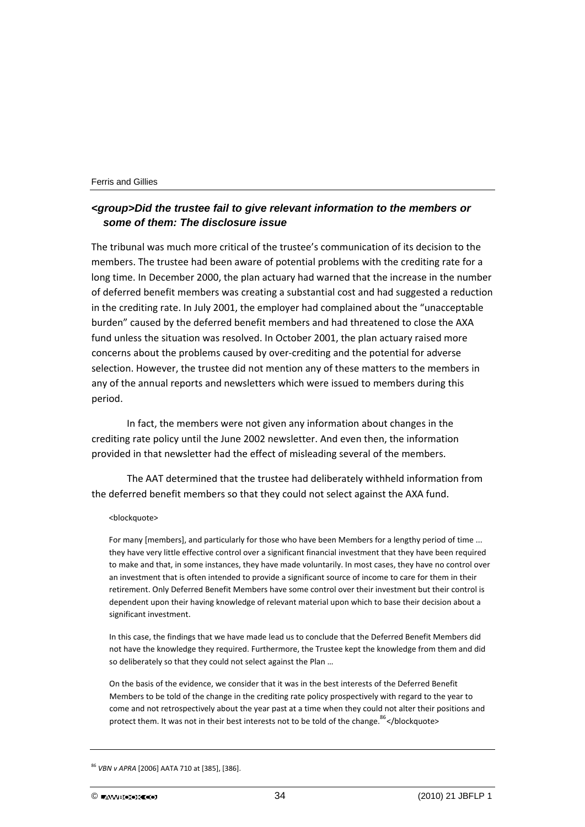## *<group>Did the trustee fail to give relevant information to the members or some of them: The disclosure issue*

The tribunal was much more critical of the trustee's communication of its decision to the members. The trustee had been aware of potential problems with the crediting rate for a long time. In December 2000, the plan actuary had warned that the increase in the number of deferred benefit members was creating a substantial cost and had suggested a reduction in the crediting rate. In July 2001, the employer had complained about the "unacceptable burden" caused by the deferred benefit members and had threatened to close the AXA fund unless the situation was resolved. In October 2001, the plan actuary raised more concerns about the problems caused by over‐crediting and the potential for adverse selection. However, the trustee did not mention any of these matters to the members in any of the annual reports and newsletters which were issued to members during this period.

In fact, the members were not given any information about changes in the crediting rate policy until the June 2002 newsletter. And even then, the information provided in that newsletter had the effect of misleading several of the members.

The AAT determined that the trustee had deliberately withheld information from the deferred benefit members so that they could not select against the AXA fund.

#### <blockquote>

For many [members], and particularly for those who have been Members for a lengthy period of time ... they have very little effective control over a significant financial investment that they have been required to make and that, in some instances, they have made voluntarily. In most cases, they have no control over an investment that is often intended to provide a significant source of income to care for them in their retirement. Only Deferred Benefit Members have some control over their investment but their control is dependent upon their having knowledge of relevant material upon which to base their decision about a significant investment.

In this case, the findings that we have made lead us to conclude that the Deferred Benefit Members did not have the knowledge they required. Furthermore, the Trustee kept the knowledge from them and did so deliberately so that they could not select against the Plan …

On the basis of the evidence, we consider that it was in the best interests of the Deferred Benefit Members to be told of the change in the crediting rate policy prospectively with regard to the year to come and not retrospectively about the year past at a time when they could not alter their positions and protect them. It was not in their best interests not to be told of the change. $86$ </blockquote>

<span id="page-34-0"></span><sup>86</sup> *VBN v APRA* [2006] AATA 710 at [385], [386].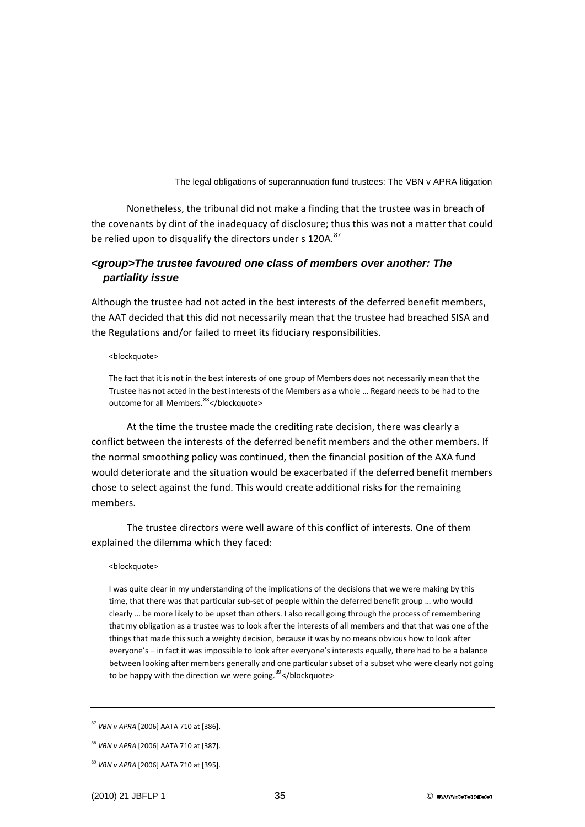Nonetheless, the tribunal did not make a finding that the trustee was in breach of the covenants by dint of the inadequacy of disclosure; thus this was not a matter that could be relied upon to disqualify the directors under s 120A.<sup>[87](#page-35-0)</sup>

## *<group>The trustee favoured one class of members over another: The partiality issue*

Although the trustee had not acted in the best interests of the deferred benefit members, the AAT decided that this did not necessarily mean that the trustee had breached SISA and the Regulations and/or failed to meet its fiduciary responsibilities.

#### <blockquote>

The fact that it is not in the best interests of one group of Members does not necessarily mean that the Trustee has not acted in the best interests of the Members as a whole … Regard needs to be had to the outcome for all Members.<sup>[88](#page-35-1)</sup></blockquote>

At the time the trustee made the crediting rate decision, there was clearly a conflict between the interests of the deferred benefit members and the other members. If the normal smoothing policy was continued, then the financial position of the AXA fund would deteriorate and the situation would be exacerbated if the deferred benefit members chose to select against the fund. This would create additional risks for the remaining members.

The trustee directors were well aware of this conflict of interests. One of them explained the dilemma which they faced:

#### <blockquote>

I was quite clear in my understanding of the implications of the decisions that we were making by this time, that there was that particular sub-set of people within the deferred benefit group ... who would clearly … be more likely to be upset than others. I also recall going through the process of remembering that my obligation as a trustee was to look after the interests of all members and that that was one of the things that made this such a weighty decision, because it was by no means obvious how to look after everyone's – in fact it was impossible to look after everyone's interests equally, there had to be a balance between looking after members generally and one particular subset of a subset who were clearly not going to be happy with the direction we were going.  $89$  </br/>/blockquote>

<span id="page-35-0"></span><sup>87</sup> *VBN v APRA* [2006] AATA 710 at [386].

<span id="page-35-1"></span><sup>88</sup> *VBN v APRA* [2006] AATA 710 at [387].

<span id="page-35-2"></span><sup>89</sup> *VBN v APRA* [2006] AATA 710 at [395].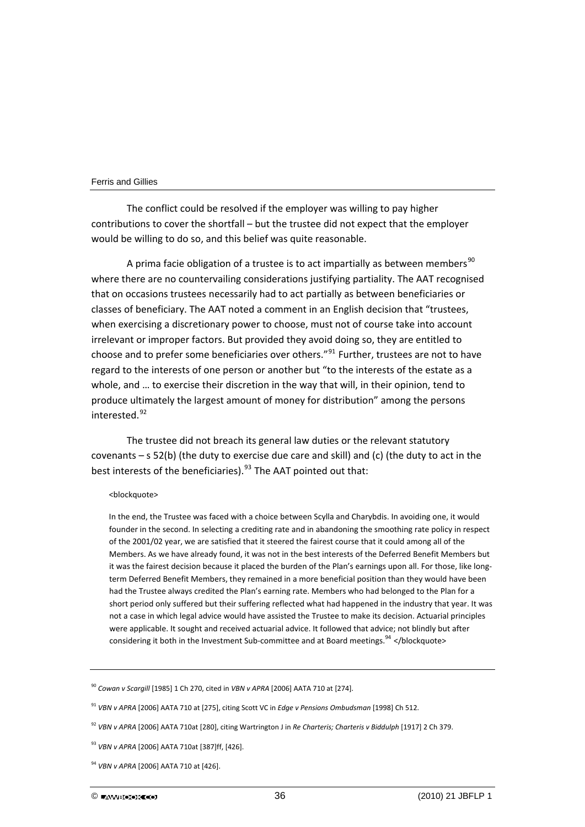The conflict could be resolved if the employer was willing to pay higher contributions to cover the shortfall – but the trustee did not expect that the employer would be willing to do so, and this belief was quite reasonable.

A prima facie obligation of a trustee is to act impartially as between members<sup>[90](#page-36-0)</sup> where there are no countervailing considerations justifying partiality. The AAT recognised that on occasions trustees necessarily had to act partially as between beneficiaries or classes of beneficiary. The AAT noted a comment in an English decision that "trustees, when exercising a discretionary power to choose, must not of course take into account irrelevant or improper factors. But provided they avoid doing so, they are entitled to choose and to prefer some beneficiaries over others."<sup>[91](#page-36-1)</sup> Further, trustees are not to have regard to the interests of one person or another but "to the interests of the estate as a whole, and … to exercise their discretion in the way that will, in their opinion, tend to produce ultimately the largest amount of money for distribution" among the persons interested.[92](#page-36-2)

The trustee did not breach its general law duties or the relevant statutory covenants  $-$  s 52(b) (the duty to exercise due care and skill) and (c) (the duty to act in the best interests of the beneficiaries).<sup>[93](#page-36-3)</sup> The AAT pointed out that:

#### <blockquote>

In the end, the Trustee was faced with a choice between Scylla and Charybdis. In avoiding one, it would founder in the second. In selecting a crediting rate and in abandoning the smoothing rate policy in respect of the 2001/02 year, we are satisfied that it steered the fairest course that it could among all of the Members. As we have already found, it was not in the best interests of the Deferred Benefit Members but it was the fairest decision because it placed the burden of the Plan's earnings upon all. For those, like long‐ term Deferred Benefit Members, they remained in a more beneficial position than they would have been had the Trustee always credited the Plan's earning rate. Members who had belonged to the Plan for a short period only suffered but their suffering reflected what had happened in the industry that year. It was not a case in which legal advice would have assisted the Trustee to make its decision. Actuarial principles were applicable. It sought and received actuarial advice. It followed that advice; not blindly but after considering it both in the Investment Sub-committee and at Board meetings.  $94$  </blockquote>

<span id="page-36-0"></span><sup>90</sup> *Cowan v Scargill* [1985] 1 Ch 270, cited in *VBN v APRA* [2006] AATA 710 at [274].

<span id="page-36-1"></span><sup>91</sup> *VBN v APRA* [2006] AATA 710 at [275], citing Scott VC in *Edge v Pensions Ombudsman* [1998] Ch 512.

<span id="page-36-2"></span><sup>92</sup> *VBN v APRA* [2006] AATA 710at [280], citing Wartrington J in *Re Charteris; Charteris v Biddulph* [1917] 2 Ch 379.

<span id="page-36-3"></span><sup>93</sup> *VBN v APRA* [2006] AATA 710at [387]ff, [426].

<sup>94</sup> *VBN v APRA* [2006] AATA 710 at [426].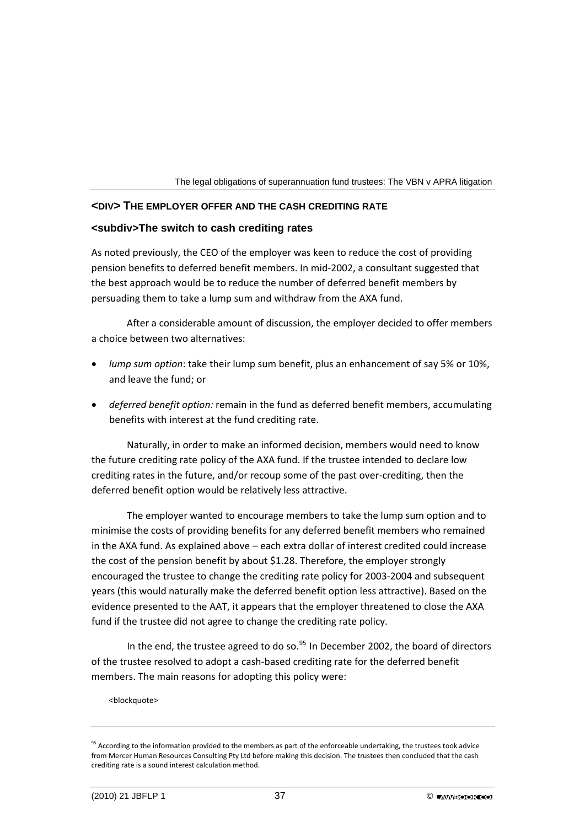

## **<DIV> THE EMPLOYER OFFER AND THE CASH CREDITING RATE**

## **<subdiv>The switch to cash crediting rates**

As noted previously, the CEO of the employer was keen to reduce the cost of providing pension benefits to deferred benefit members. In mid‐2002, a consultant suggested that the best approach would be to reduce the number of deferred benefit members by persuading them to take a lump sum and withdraw from the AXA fund.

After a considerable amount of discussion, the employer decided to offer members a choice between two alternatives:

- *lump sum option*: take their lump sum benefit, plus an enhancement of say 5% or 10%, and leave the fund; or
- *deferred benefit option:* remain in the fund as deferred benefit members, accumulating benefits with interest at the fund crediting rate.

Naturally, in order to make an informed decision, members would need to know the future crediting rate policy of the AXA fund. If the trustee intended to declare low crediting rates in the future, and/or recoup some of the past over‐crediting, then the deferred benefit option would be relatively less attractive.

The employer wanted to encourage members to take the lump sum option and to minimise the costs of providing benefits for any deferred benefit members who remained in the AXA fund. As explained above – each extra dollar of interest credited could increase the cost of the pension benefit by about \$1.28. Therefore, the employer strongly encouraged the trustee to change the crediting rate policy for 2003‐2004 and subsequent years (this would naturally make the deferred benefit option less attractive). Based on the evidence presented to the AAT, it appears that the employer threatened to close the AXA fund if the trustee did not agree to change the crediting rate policy.

In the end, the trustee agreed to do so. $95$  In December 2002, the board of directors of the trustee resolved to adopt a cash‐based crediting rate for the deferred benefit members. The main reasons for adopting this policy were:

<blockquote>

<span id="page-37-0"></span><sup>&</sup>lt;sup>95</sup> According to the information provided to the members as part of the enforceable undertaking, the trustees took advice from Mercer Human Resources Consulting Pty Ltd before making this decision. The trustees then concluded that the cash crediting rate is a sound interest calculation method.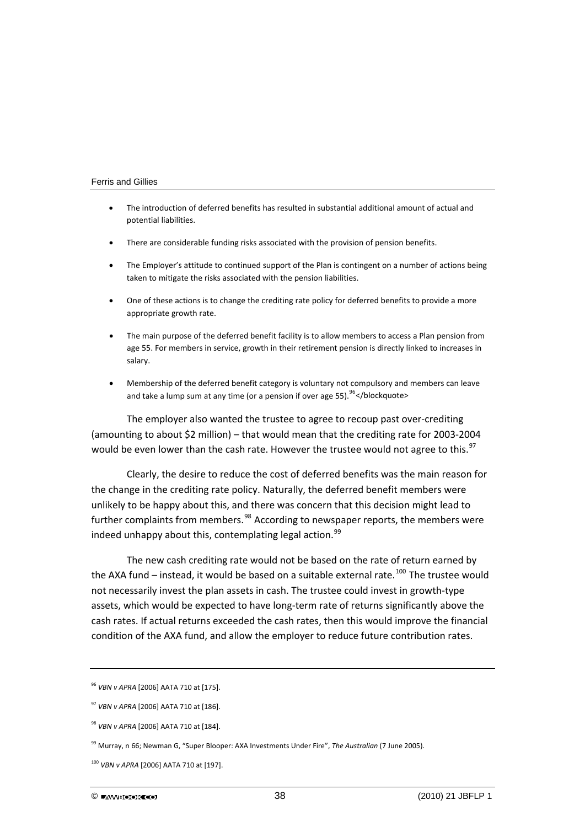- The introduction of deferred benefits has resulted in substantial additional amount of actual and potential liabilities.
- There are considerable funding risks associated with the provision of pension benefits.
- The Employer's attitude to continued support of the Plan is contingent on a number of actions being taken to mitigate the risks associated with the pension liabilities.
- One of these actions is to change the crediting rate policy for deferred benefits to provide a more appropriate growth rate.
- The main purpose of the deferred benefit facility is to allow members to access a Plan pension from age 55. For members in service, growth in their retirement pension is directly linked to increases in salary.
- Membership of the deferred benefit category is voluntary not compulsory and members can leave and take a lump sum at any time (or a pension if over age 55).  $96$  </br/>/blockquote>

The employer also wanted the trustee to agree to recoup past over‐crediting (amounting to about \$2 million) – that would mean that the crediting rate for 2003‐2004 would be even lower than the cash rate. However the trustee would not agree to this.<sup>[97](#page-38-1)</sup>

Clearly, the desire to reduce the cost of deferred benefits was the main reason for the change in the crediting rate policy. Naturally, the deferred benefit members were unlikely to be happy about this, and there was concern that this decision might lead to further complaints from members.<sup>[98](#page-38-2)</sup> According to newspaper reports, the members were indeed unhappy about this, contemplating legal action.  $99$ 

The new cash crediting rate would not be based on the rate of return earned by the AXA fund – instead, it would be based on a suitable external rate.<sup>[100](#page-38-4)</sup> The trustee would not necessarily invest the plan assets in cash. The trustee could invest in growth‐type assets, which would be expected to have long‐term rate of returns significantly above the cash rates. If actual returns exceeded the cash rates, then this would improve the financial condition of the AXA fund, and allow the employer to reduce future contribution rates.

<span id="page-38-0"></span><sup>96</sup> *VBN v APRA* [2006] AATA 710 at [175].

<span id="page-38-1"></span><sup>97</sup> *VBN v APRA* [2006] AATA 710 at [186].

<span id="page-38-2"></span><sup>98</sup> *VBN v APRA* [2006] AATA 710 at [184].

<span id="page-38-3"></span><sup>99</sup> Murray, n 66; Newman G, "Super Blooper: AXA Investments Under Fire", *The Australian* (7 June 2005).

<span id="page-38-4"></span><sup>100</sup> *VBN v APRA* [2006] AATA 710 at [197].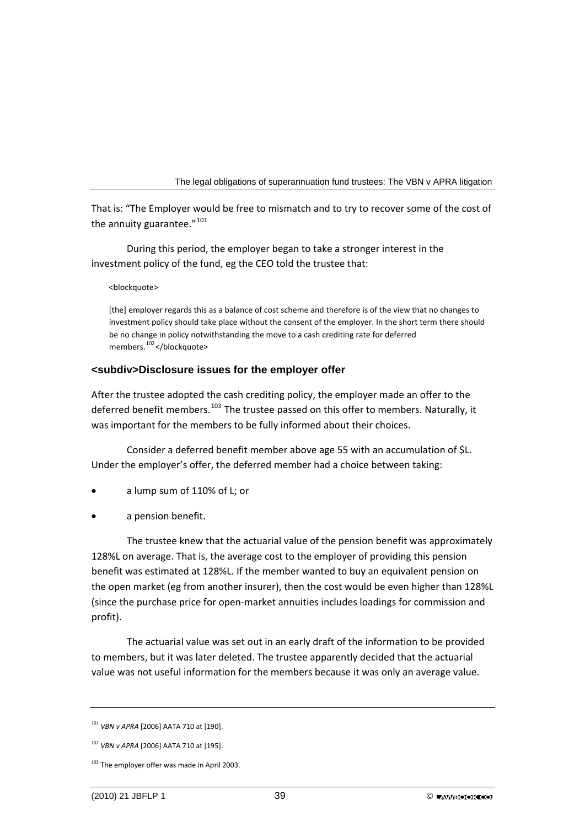That is: "The Employer would be free to mismatch and to try to recover some of the cost of the annuity guarantee."<sup>[101](#page-39-0)</sup>

During this period, the employer began to take a stronger interest in the investment policy of the fund, eg the CEO told the trustee that:

<blockquote>

[the] employer regards this as a balance of cost scheme and therefore is of the view that no changes to investment policy should take place without the consent of the employer. In the short term there should be no change in policy notwithstanding the move to a cash crediting rate for deferred members.<sup>[102](#page-39-1)</sup></blockquote>

## **<subdiv>Disclosure issues for the employer offer**

After the trustee adopted the cash crediting policy, the employer made an offer to the deferred benefit members.<sup>[103](#page-39-2)</sup> The trustee passed on this offer to members. Naturally, it was important for the members to be fully informed about their choices.

Consider a deferred benefit member above age 55 with an accumulation of \$L. Under the employer's offer, the deferred member had a choice between taking:

- a lump sum of 110% of L; or
- a pension benefit.

The trustee knew that the actuarial value of the pension benefit was approximately 128%L on average. That is, the average cost to the employer of providing this pension benefit was estimated at 128%L. If the member wanted to buy an equivalent pension on the open market (eg from another insurer), then the cost would be even higher than 128%L (since the purchase price for open‐market annuities includes loadings for commission and profit).

The actuarial value was set out in an early draft of the information to be provided to members, but it was later deleted. The trustee apparently decided that the actuarial value was not useful information for the members because it was only an average value.

<span id="page-39-0"></span><sup>101</sup> *VBN v APRA* [2006] AATA 710 at [190].

<span id="page-39-1"></span><sup>102</sup> *VBN v APRA* [2006] AATA 710 at [195].

<span id="page-39-2"></span><sup>&</sup>lt;sup>103</sup> The employer offer was made in April 2003.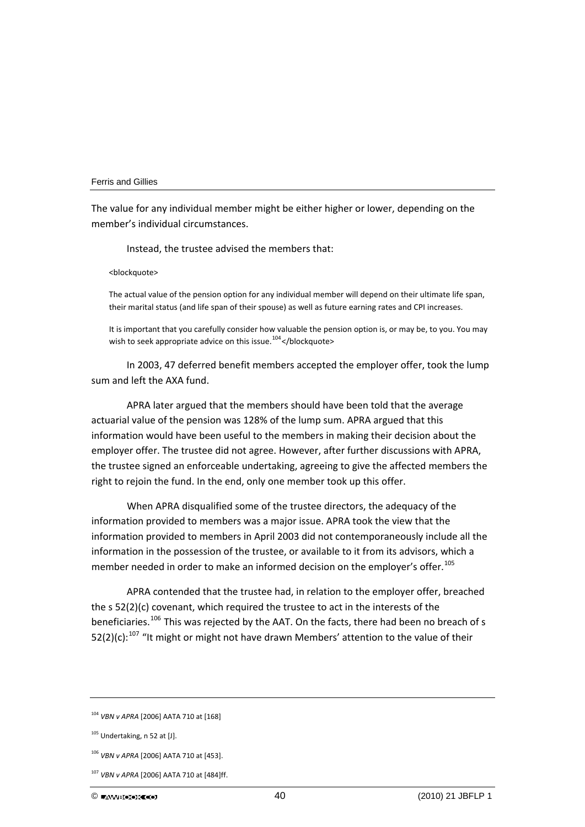The value for any individual member might be either higher or lower, depending on the member's individual circumstances.

Instead, the trustee advised the members that:

<blockquote>

The actual value of the pension option for any individual member will depend on their ultimate life span, their marital status (and life span of their spouse) as well as future earning rates and CPI increases.

It is important that you carefully consider how valuable the pension option is, or may be, to you. You may wish to seek appropriate advice on this issue.<sup>[104](#page-40-0)</sup> </br/>blockquote>

In 2003, 47 deferred benefit members accepted the employer offer, took the lump sum and left the AXA fund.

APRA later argued that the members should have been told that the average actuarial value of the pension was 128% of the lump sum. APRA argued that this information would have been useful to the members in making their decision about the employer offer. The trustee did not agree. However, after further discussions with APRA, the trustee signed an enforceable undertaking, agreeing to give the affected members the right to rejoin the fund. In the end, only one member took up this offer.

When APRA disqualified some of the trustee directors, the adequacy of the information provided to members was a major issue. APRA took the view that the information provided to members in April 2003 did not contemporaneously include all the information in the possession of the trustee, or available to it from its advisors, which a member needed in order to make an informed decision on the employer's offer.<sup>[105](#page-40-1)</sup>

APRA contended that the trustee had, in relation to the employer offer, breached the s 52(2)(c) covenant, which required the trustee to act in the interests of the beneficiaries.<sup>[106](#page-40-2)</sup> This was rejected by the AAT. On the facts, there had been no breach of s 52(2)(c):<sup>[107](#page-40-0)</sup> "It might or might not have drawn Members' attention to the value of their

<span id="page-40-0"></span><sup>104</sup> *VBN v APRA* [2006] AATA 710 at [168]

<span id="page-40-1"></span> $105$  Undertaking, n 52 at [J].

<span id="page-40-2"></span><sup>106</sup> *VBN v APRA* [2006] AATA 710 at [453].

<sup>107</sup> *VBN v APRA* [2006] AATA 710 at [484]ff.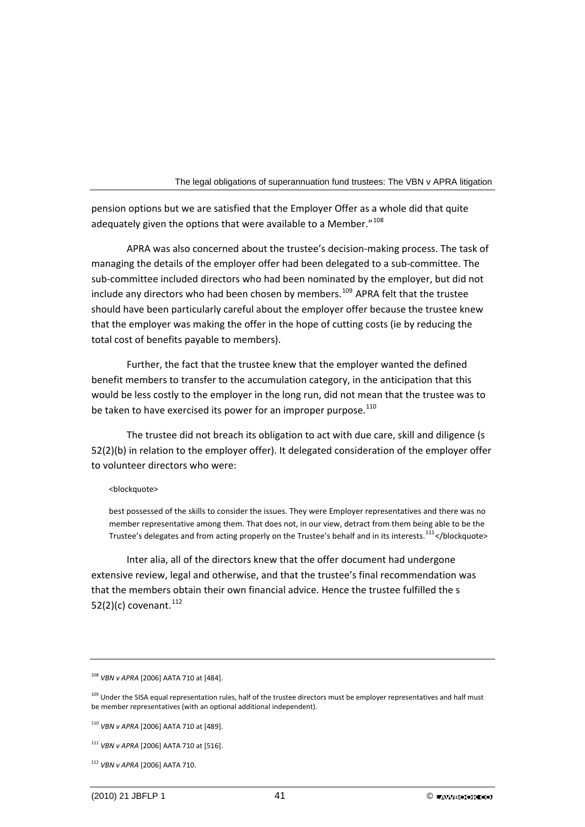pension options but we are satisfied that the Employer Offer as a whole did that quite adequately given the options that were available to a Member." $108$ 

APRA was also concerned about the trustee's decision‐making process. The task of managing the details of the employer offer had been delegated to a sub‐committee. The sub‐committee included directors who had been nominated by the employer, but did not include any directors who had been chosen by members.<sup>[109](#page-41-1)</sup> APRA felt that the trustee should have been particularly careful about the employer offer because the trustee knew that the employer was making the offer in the hope of cutting costs (ie by reducing the total cost of benefits payable to members).

Further, the fact that the trustee knew that the employer wanted the defined benefit members to transfer to the accumulation category, in the anticipation that this would be less costly to the employer in the long run, did not mean that the trustee was to be taken to have exercised its power for an improper purpose.<sup>[110](#page-41-2)</sup>

The trustee did not breach its obligation to act with due care, skill and diligence (s 52(2)(b) in relation to the employer offer). It delegated consideration of the employer offer to volunteer directors who were:

#### <blockquote>

best possessed of the skills to consider the issues. They were Employer representatives and there was no member representative among them. That does not, in our view, detract from them being able to be the Trustee's delegates and from acting properly on the Trustee's behalf and in its interests.<sup>[111](#page-41-3)</sup></blockquote>

Inter alia, all of the directors knew that the offer document had undergone extensive review, legal and otherwise, and that the trustee's final recommendation was that the members obtain their own financial advice. Hence the trustee fulfilled the s 52(2)(c) covenant.  $^{112}$  $^{112}$  $^{112}$ 

<span id="page-41-0"></span><sup>108</sup> *VBN v APRA* [2006] AATA 710 at [484].

<span id="page-41-1"></span><sup>&</sup>lt;sup>109</sup> Under the SISA equal representation rules, half of the trustee directors must be employer representatives and half must be member representatives (with an optional additional independent).

<span id="page-41-2"></span><sup>110</sup> *VBN v APRA* [2006] AATA 710 at [489].

<span id="page-41-3"></span><sup>111</sup> *VBN v APRA* [2006] AATA 710 at [516].

<span id="page-41-4"></span><sup>112</sup> *VBN v APRA* [2006] AATA 710.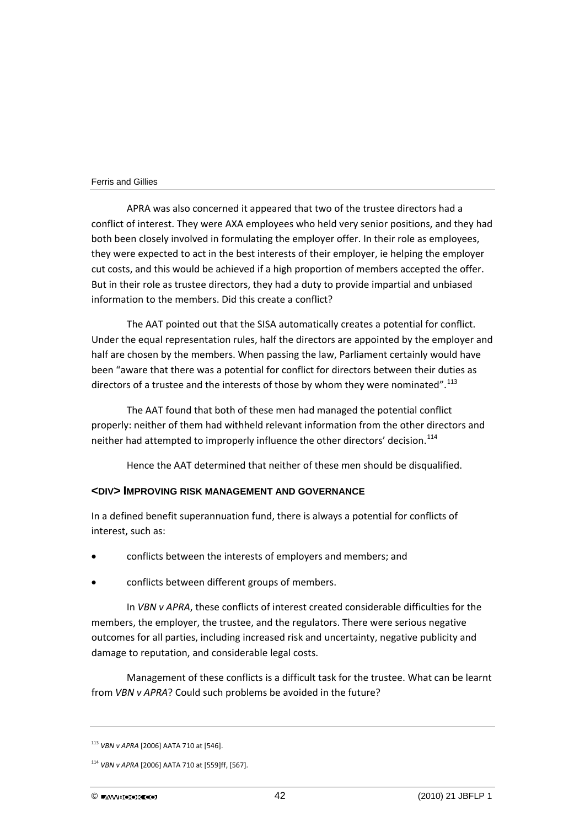APRA was also concerned it appeared that two of the trustee directors had a conflict of interest. They were AXA employees who held very senior positions, and they had both been closely involved in formulating the employer offer. In their role as employees, they were expected to act in the best interests of their employer, ie helping the employer cut costs, and this would be achieved if a high proportion of members accepted the offer. But in their role as trustee directors, they had a duty to provide impartial and unbiased information to the members. Did this create a conflict?

The AAT pointed out that the SISA automatically creates a potential for conflict. Under the equal representation rules, half the directors are appointed by the employer and half are chosen by the members. When passing the law, Parliament certainly would have been "aware that there was a potential for conflict for directors between their duties as directors of a trustee and the interests of those by whom they were nominated".<sup>[113](#page-42-0)</sup>

The AAT found that both of these men had managed the potential conflict properly: neither of them had withheld relevant information from the other directors and neither had attempted to improperly influence the other directors' decision.<sup>[114](#page-42-1)</sup>

Hence the AAT determined that neither of these men should be disqualified.

## **<DIV> IMPROVING RISK MANAGEMENT AND GOVERNANCE**

In a defined benefit superannuation fund, there is always a potential for conflicts of interest, such as:

- conflicts between the interests of employers and members; and
- conflicts between different groups of members.

In *VBN v APRA*, these conflicts of interest created considerable difficulties for the members, the employer, the trustee, and the regulators. There were serious negative outcomes for all parties, including increased risk and uncertainty, negative publicity and damage to reputation, and considerable legal costs.

Management of these conflicts is a difficult task for the trustee. What can be learnt from *VBN v APRA*? Could such problems be avoided in the future?

<span id="page-42-0"></span><sup>113</sup> *VBN v APRA* [2006] AATA 710 at [546].

<span id="page-42-1"></span><sup>114</sup> *VBN v APRA* [2006] AATA 710 at [559]ff, [567].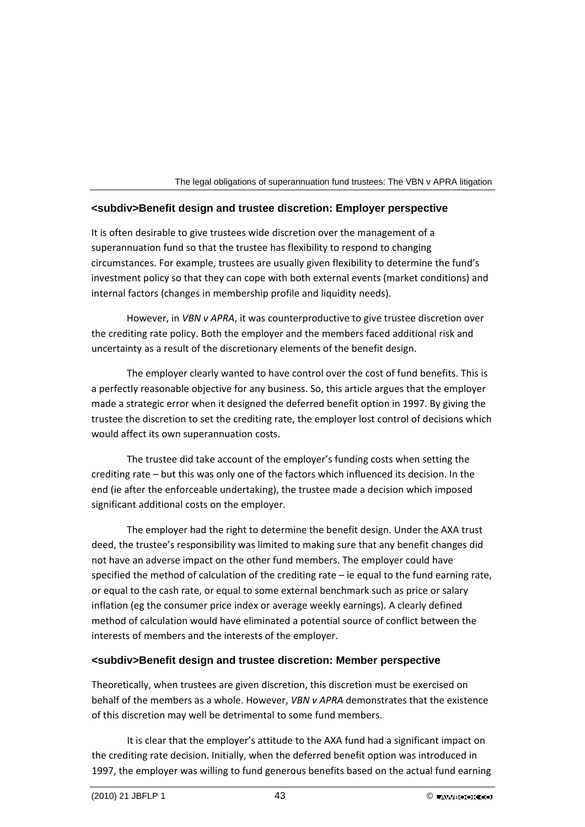## **<subdiv>Benefit design and trustee discretion: Employer perspective**

It is often desirable to give trustees wide discretion over the management of a superannuation fund so that the trustee has flexibility to respond to changing circumstances. For example, trustees are usually given flexibility to determine the fund's investment policy so that they can cope with both external events (market conditions) and internal factors (changes in membership profile and liquidity needs).

However, in *VBN v APRA*, it was counterproductive to give trustee discretion over the crediting rate policy. Both the employer and the members faced additional risk and uncertainty as a result of the discretionary elements of the benefit design.

The employer clearly wanted to have control over the cost of fund benefits. This is a perfectly reasonable objective for any business. So, this article argues that the employer made a strategic error when it designed the deferred benefit option in 1997. By giving the trustee the discretion to set the crediting rate, the employer lost control of decisions which would affect its own superannuation costs.

The trustee did take account of the employer's funding costs when setting the crediting rate – but this was only one of the factors which influenced its decision. In the end (ie after the enforceable undertaking), the trustee made a decision which imposed significant additional costs on the employer.

The employer had the right to determine the benefit design. Under the AXA trust deed, the trustee's responsibility was limited to making sure that any benefit changes did not have an adverse impact on the other fund members. The employer could have specified the method of calculation of the crediting rate – ie equal to the fund earning rate, or equal to the cash rate, or equal to some external benchmark such as price or salary inflation (eg the consumer price index or average weekly earnings). A clearly defined method of calculation would have eliminated a potential source of conflict between the interests of members and the interests of the employer.

## **<subdiv>Benefit design and trustee discretion: Member perspective**

Theoretically, when trustees are given discretion, this discretion must be exercised on behalf of the members as a whole. However, *VBN v APRA* demonstrates that the existence of this discretion may well be detrimental to some fund members.

It is clear that the employer's attitude to the AXA fund had a significant impact on the crediting rate decision. Initially, when the deferred benefit option was introduced in 1997, the employer was willing to fund generous benefits based on the actual fund earning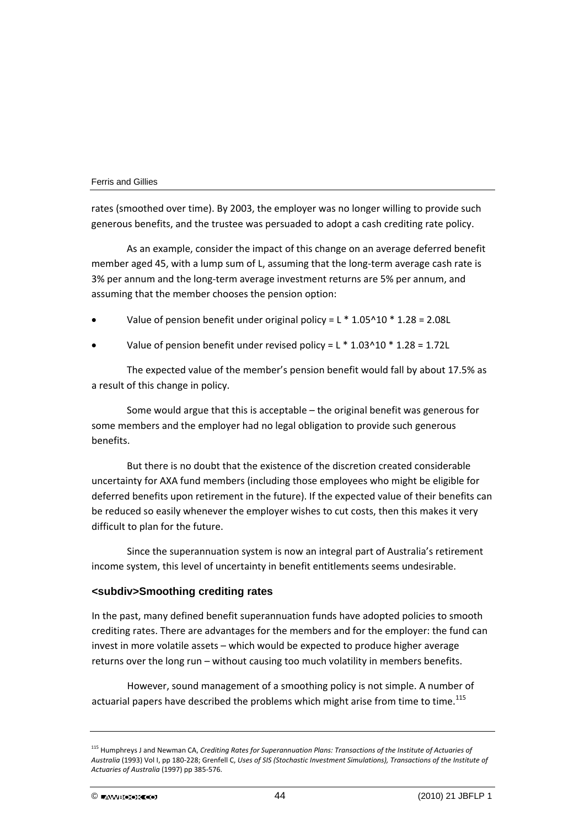rates (smoothed over time). By 2003, the employer was no longer willing to provide such generous benefits, and the trustee was persuaded to adopt a cash crediting rate policy.

As an example, consider the impact of this change on an average deferred benefit member aged 45, with a lump sum of L, assuming that the long-term average cash rate is 3% per annum and the long‐term average investment returns are 5% per annum, and assuming that the member chooses the pension option:

Value of pension benefit under original policy =  $L * 1.05^{\circ}10 * 1.28 = 2.08L$ 

Value of pension benefit under revised policy =  $L * 1.03*10 * 1.28 = 1.72L$ 

The expected value of the member's pension benefit would fall by about 17.5% as a result of this change in policy.

Some would argue that this is acceptable – the original benefit was generous for some members and the employer had no legal obligation to provide such generous benefits.

But there is no doubt that the existence of the discretion created considerable uncertainty for AXA fund members (including those employees who might be eligible for deferred benefits upon retirement in the future). If the expected value of their benefits can be reduced so easily whenever the employer wishes to cut costs, then this makes it very difficult to plan for the future.

Since the superannuation system is now an integral part of Australia's retirement income system, this level of uncertainty in benefit entitlements seems undesirable.

## **<subdiv>Smoothing crediting rates**

In the past, many defined benefit superannuation funds have adopted policies to smooth crediting rates. There are advantages for the members and for the employer: the fund can invest in more volatile assets – which would be expected to produce higher average returns over the long run – without causing too much volatility in members benefits.

However, sound management of a smoothing policy is not simple. A number of actuarial papers have described the problems which might arise from time to time.<sup>[115](#page-44-0)</sup>

<span id="page-44-0"></span><sup>115</sup> Humphreys J and Newman CA, *Crediting Rates for Superannuation Plans: Transactions of the Institute of Actuaries of Australia* (1993) Vol I, pp 180‐228; Grenfell C, *Uses of SIS (Stochastic Investment Simulations), Transactions of the Institute of Actuaries of Australia* (1997) pp 385‐576.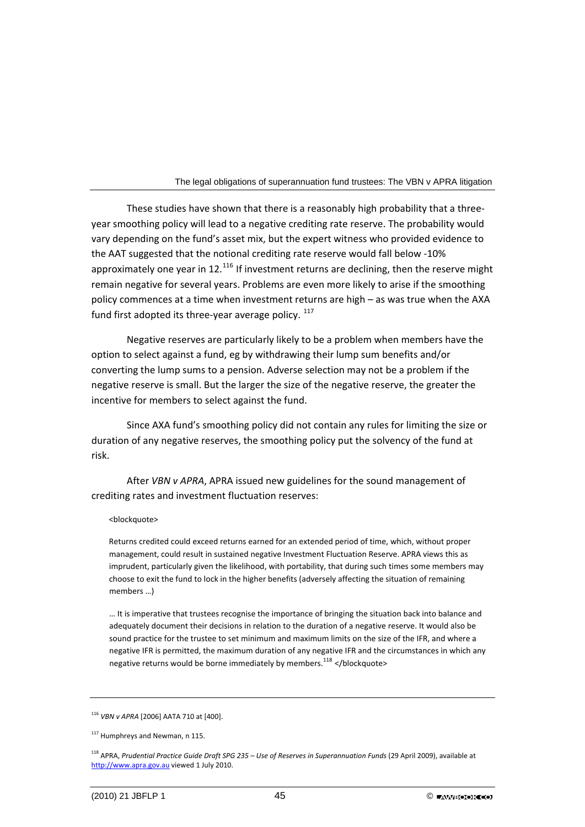These studies have shown that there is a reasonably high probability that a three‐ year smoothing policy will lead to a negative crediting rate reserve. The probability would vary depending on the fund's asset mix, but the expert witness who provided evidence to the AAT suggested that the notional crediting rate reserve would fall below ‐10% approximately one year in 12.<sup>[116](#page-45-0)</sup> If investment returns are declining, then the reserve might remain negative for several years. Problems are even more likely to arise if the smoothing policy commences at a time when investment returns are high – as was true when the AXA fund first adopted its three-year average policy.  $117$ 

Negative reserves are particularly likely to be a problem when members have the option to select against a fund, eg by withdrawing their lump sum benefits and/or converting the lump sums to a pension. Adverse selection may not be a problem if the negative reserve is small. But the larger the size of the negative reserve, the greater the incentive for members to select against the fund.

Since AXA fund's smoothing policy did not contain any rules for limiting the size or duration of any negative reserves, the smoothing policy put the solvency of the fund at risk.

After *VBN v APRA*, APRA issued new guidelines for the sound management of crediting rates and investment fluctuation reserves:

#### <blockquote>

Returns credited could exceed returns earned for an extended period of time, which, without proper management, could result in sustained negative Investment Fluctuation Reserve. APRA views this as imprudent, particularly given the likelihood, with portability, that during such times some members may choose to exit the fund to lock in the higher benefits (adversely affecting the situation of remaining members …)

… It is imperative that trustees recognise the importance of bringing the situation back into balance and adequately document their decisions in relation to the duration of a negative reserve. It would also be sound practice for the trustee to set minimum and maximum limits on the size of the IFR, and where a negative IFR is permitted, the maximum duration of any negative IFR and the circumstances in which any negative returns would be borne immediately by members.<sup>[118](#page-45-2)</sup> </blockquote>

<span id="page-45-0"></span><sup>116</sup> *VBN v APRA* [2006] AATA 710 at [400].

<span id="page-45-1"></span><sup>&</sup>lt;sup>117</sup> Humphreys and Newman, n 115.

<span id="page-45-2"></span><sup>118</sup> APRA, *Prudential Practice Guide Draft SPG 235 – Use of Reserves in Superannuation Funds* (29 April 2009), available at [http://www.apra.gov.au](http://www.apra.gov.au/) viewed 1 July 2010.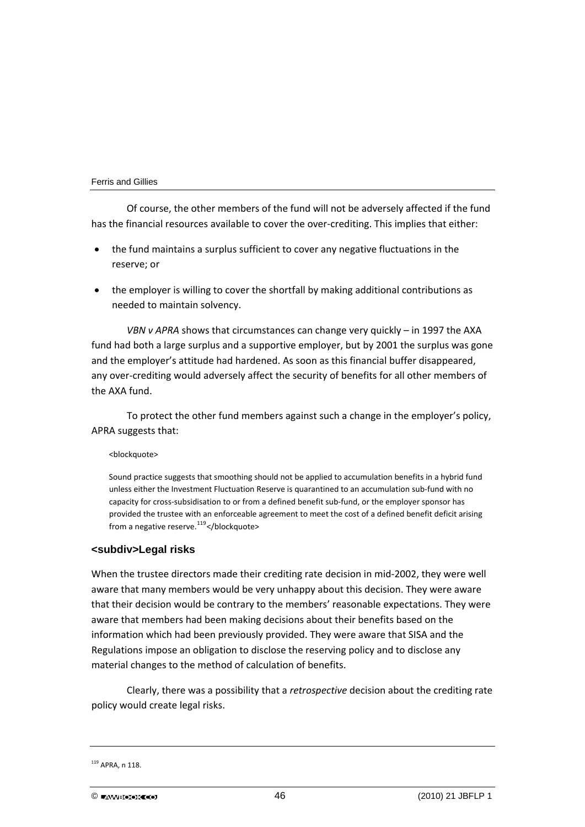Of course, the other members of the fund will not be adversely affected if the fund has the financial resources available to cover the over-crediting. This implies that either:

- the fund maintains a surplus sufficient to cover any negative fluctuations in the reserve; or
- the employer is willing to cover the shortfall by making additional contributions as needed to maintain solvency.

*VBN v APRA* shows that circumstances can change very quickly – in 1997 the AXA fund had both a large surplus and a supportive employer, but by 2001 the surplus was gone and the employer's attitude had hardened. As soon as this financial buffer disappeared, any over-crediting would adversely affect the security of benefits for all other members of the AXA fund.

To protect the other fund members against such a change in the employer's policy, APRA suggests that:

<blockquote>

Sound practice suggests that smoothing should not be applied to accumulation benefits in a hybrid fund unless either the Investment Fluctuation Reserve is quarantined to an accumulation sub‐fund with no capacity for cross-subsidisation to or from a defined benefit sub-fund, or the employer sponsor has provided the trustee with an enforceable agreement to meet the cost of a defined benefit deficit arising from a negative reserve.<sup>[119](#page-46-0)</sup> </br>/blockquote>

## **<subdiv>Legal risks**

When the trustee directors made their crediting rate decision in mid‐2002, they were well aware that many members would be very unhappy about this decision. They were aware that their decision would be contrary to the members' reasonable expectations. They were aware that members had been making decisions about their benefits based on the information which had been previously provided. They were aware that SISA and the Regulations impose an obligation to disclose the reserving policy and to disclose any material changes to the method of calculation of benefits.

Clearly, there was a possibility that a *retrospective* decision about the crediting rate policy would create legal risks.

<span id="page-46-0"></span><sup>119</sup> APRA, n 118.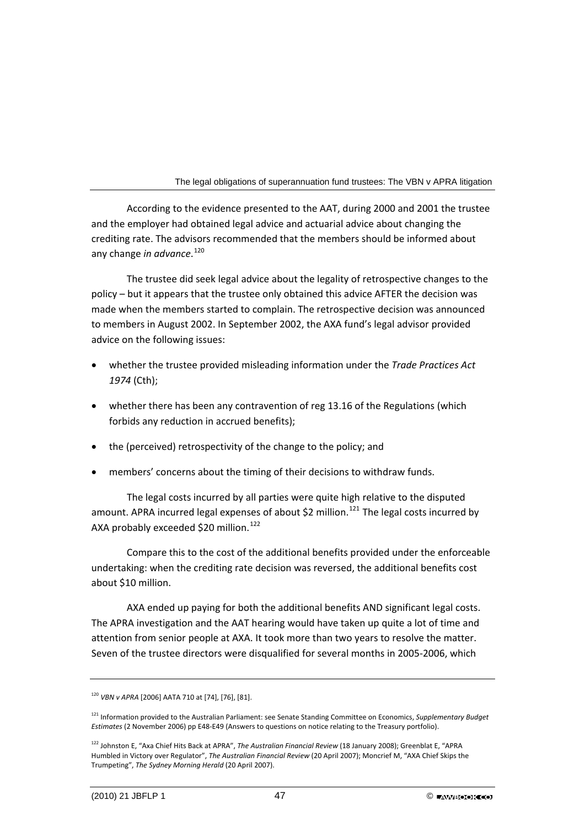According to the evidence presented to the AAT, during 2000 and 2001 the trustee and the employer had obtained legal advice and actuarial advice about changing the crediting rate. The advisors recommended that the members should be informed about any change *in advance*. [120](#page-47-0)

The trustee did seek legal advice about the legality of retrospective changes to the policy – but it appears that the trustee only obtained this advice AFTER the decision was made when the members started to complain. The retrospective decision was announced to members in August 2002. In September 2002, the AXA fund's legal advisor provided advice on the following issues:

- whether the trustee provided misleading information under the *Trade Practices Act 1974* (Cth);
- whether there has been any contravention of reg 13.16 of the Regulations (which forbids any reduction in accrued benefits);
- the (perceived) retrospectivity of the change to the policy; and
- members' concerns about the timing of their decisions to withdraw funds.

The legal costs incurred by all parties were quite high relative to the disputed amount. APRA incurred legal expenses of about \$2 million.<sup>[121](#page-47-1)</sup> The legal costs incurred by AXA probably exceeded \$20 million.<sup>[122](#page-47-2)</sup>

Compare this to the cost of the additional benefits provided under the enforceable undertaking: when the crediting rate decision was reversed, the additional benefits cost about \$10 million.

AXA ended up paying for both the additional benefits AND significant legal costs. The APRA investigation and the AAT hearing would have taken up quite a lot of time and attention from senior people at AXA. It took more than two years to resolve the matter. Seven of the trustee directors were disqualified for several months in 2005‐2006, which

<span id="page-47-0"></span><sup>120</sup> *VBN v APRA* [2006] AATA 710 at [74], [76], [81].

<span id="page-47-1"></span><sup>121</sup> Information provided to the Australian Parliament: see Senate Standing Committee on Economics, *Supplementary Budget Estimates* (2 November 2006) pp E48‐E49 (Answers to questions on notice relating to the Treasury portfolio).

<span id="page-47-2"></span><sup>122</sup> Johnston E, "Axa Chief Hits Back at APRA", *The Australian Financial Review* (18 January 2008); Greenblat E, "APRA Humbled in Victory over Regulator", *The Australian Financial Review* (20 April 2007); Moncrief M, "AXA Chief Skips the Trumpeting", *The Sydney Morning Herald* (20 April 2007).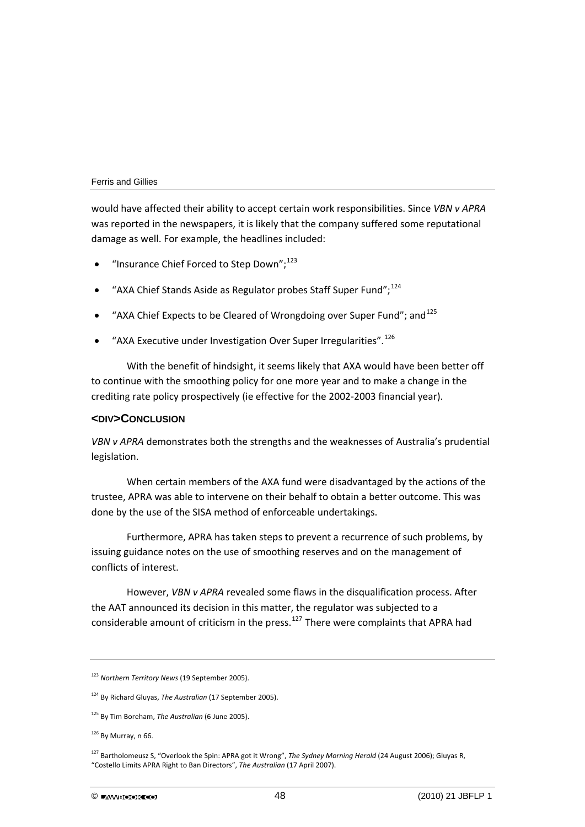would have affected their ability to accept certain work responsibilities. Since *VBN v APRA* was reported in the newspapers, it is likely that the company suffered some reputational damage as well. For example, the headlines included:

- "Insurance Chief Forced to Step Down": [123](#page-48-0)
- "AXA Chief Stands Aside as Regulator probes Staff Super Fund": $^{124}$  $^{124}$  $^{124}$
- "AXA Chief Expects to be Cleared of Wrongdoing over Super Fund"; and<sup>[125](#page-48-2)</sup>
- "AXA Executive under Investigation Over Super Irregularities".<sup>[126](#page-48-3)</sup>

With the benefit of hindsight, it seems likely that AXA would have been better off to continue with the smoothing policy for one more year and to make a change in the crediting rate policy prospectively (ie effective for the 2002‐2003 financial year).

## **<DIV>CONCLUSION**

*VBN v APRA* demonstrates both the strengths and the weaknesses of Australia's prudential legislation.

When certain members of the AXA fund were disadvantaged by the actions of the trustee, APRA was able to intervene on their behalf to obtain a better outcome. This was done by the use of the SISA method of enforceable undertakings.

Furthermore, APRA has taken steps to prevent a recurrence of such problems, by issuing guidance notes on the use of smoothing reserves and on the management of conflicts of interest.

However, *VBN v APRA* revealed some flaws in the disqualification process. After the AAT announced its decision in this matter, the regulator was subjected to a considerable amount of criticism in the press.<sup>[127](#page-48-4)</sup> There were complaints that APRA had

<span id="page-48-0"></span><sup>123</sup> *Northern Territory News* (19 September 2005).

<span id="page-48-1"></span><sup>124</sup> By Richard Gluyas, *The Australian* (17 September 2005).

<span id="page-48-2"></span><sup>125</sup> By Tim Boreham, *The Australian* (6 June 2005).

<span id="page-48-3"></span> $126$  By Murray, n 66.

<span id="page-48-4"></span><sup>127</sup> Bartholomeusz S, "Overlook the Spin: APRA got it Wrong", *The Sydney Morning Herald* (24 August 2006); Gluyas R, "Costello Limits APRA Right to Ban Directors", *The Australian* (17 April 2007).